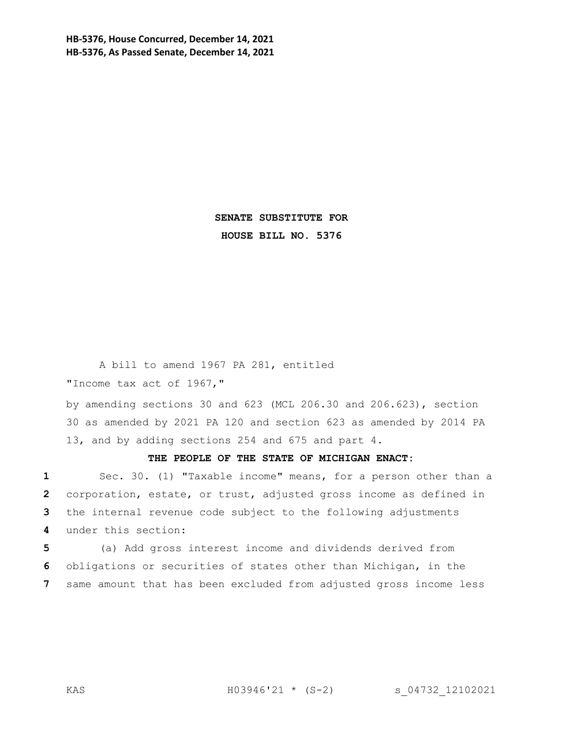**HB-5376, House Concurred, December 14, 2021 HB-5376, As Passed Senate, December 14, 2021**

> **SENATE SUBSTITUTE FOR HOUSE BILL NO. 5376**

A bill to amend 1967 PA 281, entitled "Income tax act of 1967,"

by amending sections 30 and 623 (MCL 206.30 and 206.623), section 30 as amended by 2021 PA 120 and section 623 as amended by 2014 PA 13, and by adding sections 254 and 675 and part 4.

**THE PEOPLE OF THE STATE OF MICHIGAN ENACT:**

 Sec. 30. (1) "Taxable income" means, for a person other than a corporation, estate, or trust, adjusted gross income as defined in the internal revenue code subject to the following adjustments under this section:

**5** (a) Add gross interest income and dividends derived from **6** obligations or securities of states other than Michigan, in the **7** same amount that has been excluded from adjusted gross income less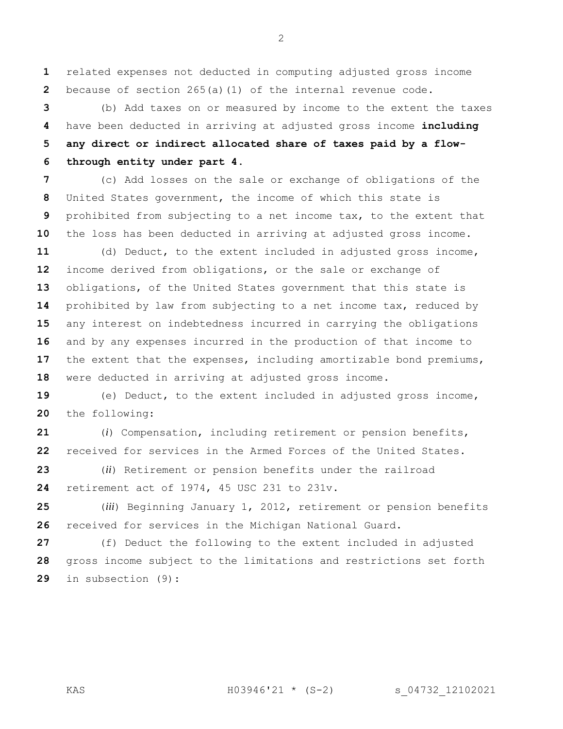related expenses not deducted in computing adjusted gross income because of section 265(a)(1) of the internal revenue code.

 (b) Add taxes on or measured by income to the extent the taxes have been deducted in arriving at adjusted gross income **including any direct or indirect allocated share of taxes paid by a flow-through entity under part 4**.

 (c) Add losses on the sale or exchange of obligations of the United States government, the income of which this state is prohibited from subjecting to a net income tax, to the extent that the loss has been deducted in arriving at adjusted gross income.

 (d) Deduct, to the extent included in adjusted gross income, income derived from obligations, or the sale or exchange of obligations, of the United States government that this state is prohibited by law from subjecting to a net income tax, reduced by any interest on indebtedness incurred in carrying the obligations and by any expenses incurred in the production of that income to the extent that the expenses, including amortizable bond premiums, were deducted in arriving at adjusted gross income.

 (e) Deduct, to the extent included in adjusted gross income, the following:

 (*i*) Compensation, including retirement or pension benefits, received for services in the Armed Forces of the United States.

 (*ii*) Retirement or pension benefits under the railroad retirement act of 1974, 45 USC 231 to 231v.

 (*iii*) Beginning January 1, 2012, retirement or pension benefits received for services in the Michigan National Guard.

 (f) Deduct the following to the extent included in adjusted gross income subject to the limitations and restrictions set forth in subsection (9):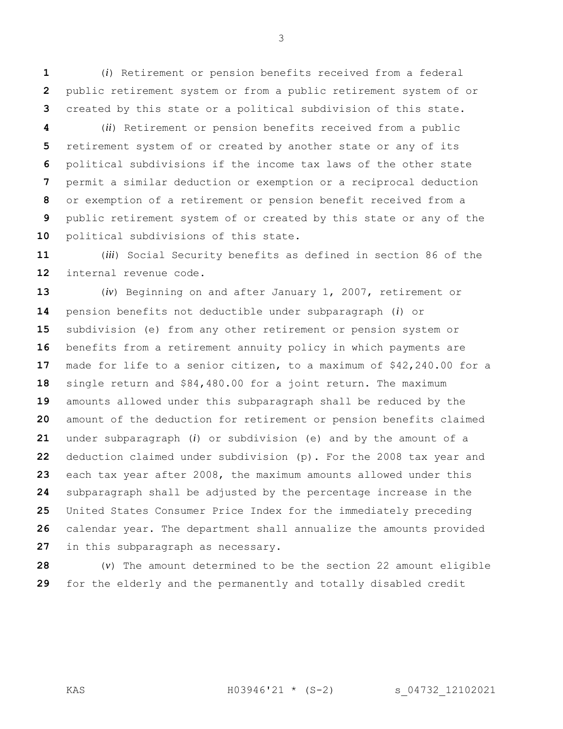(*i*) Retirement or pension benefits received from a federal public retirement system or from a public retirement system of or created by this state or a political subdivision of this state.

 (*ii*) Retirement or pension benefits received from a public retirement system of or created by another state or any of its political subdivisions if the income tax laws of the other state permit a similar deduction or exemption or a reciprocal deduction or exemption of a retirement or pension benefit received from a public retirement system of or created by this state or any of the political subdivisions of this state.

 (*iii*) Social Security benefits as defined in section 86 of the internal revenue code.

 (*iv*) Beginning on and after January 1, 2007, retirement or pension benefits not deductible under subparagraph (*i*) or subdivision (e) from any other retirement or pension system or benefits from a retirement annuity policy in which payments are made for life to a senior citizen, to a maximum of \$42,240.00 for a single return and \$84,480.00 for a joint return. The maximum amounts allowed under this subparagraph shall be reduced by the amount of the deduction for retirement or pension benefits claimed under subparagraph (*i*) or subdivision (e) and by the amount of a deduction claimed under subdivision (p). For the 2008 tax year and each tax year after 2008, the maximum amounts allowed under this subparagraph shall be adjusted by the percentage increase in the United States Consumer Price Index for the immediately preceding calendar year. The department shall annualize the amounts provided in this subparagraph as necessary.

 (*v*) The amount determined to be the section 22 amount eligible for the elderly and the permanently and totally disabled credit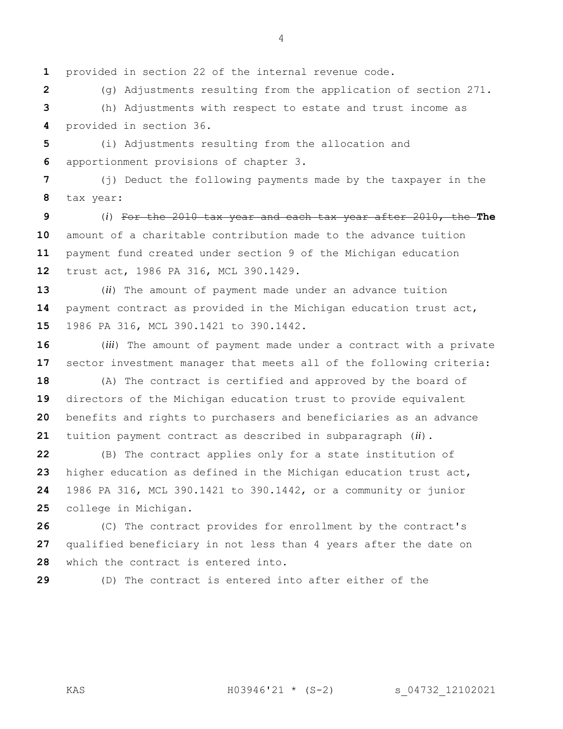provided in section 22 of the internal revenue code.

 (g) Adjustments resulting from the application of section 271. (h) Adjustments with respect to estate and trust income as provided in section 36.

 (i) Adjustments resulting from the allocation and apportionment provisions of chapter 3.

 (j) Deduct the following payments made by the taxpayer in the tax year:

 (*i*) For the 2010 tax year and each tax year after 2010, the **The**  amount of a charitable contribution made to the advance tuition payment fund created under section 9 of the Michigan education trust act, 1986 PA 316, MCL 390.1429.

 (*ii*) The amount of payment made under an advance tuition payment contract as provided in the Michigan education trust act, 1986 PA 316, MCL 390.1421 to 390.1442.

 (*iii*) The amount of payment made under a contract with a private sector investment manager that meets all of the following criteria:

 (A) The contract is certified and approved by the board of directors of the Michigan education trust to provide equivalent benefits and rights to purchasers and beneficiaries as an advance tuition payment contract as described in subparagraph (*ii*).

 (B) The contract applies only for a state institution of higher education as defined in the Michigan education trust act, 1986 PA 316, MCL 390.1421 to 390.1442, or a community or junior college in Michigan.

 (C) The contract provides for enrollment by the contract's qualified beneficiary in not less than 4 years after the date on which the contract is entered into.

(D) The contract is entered into after either of the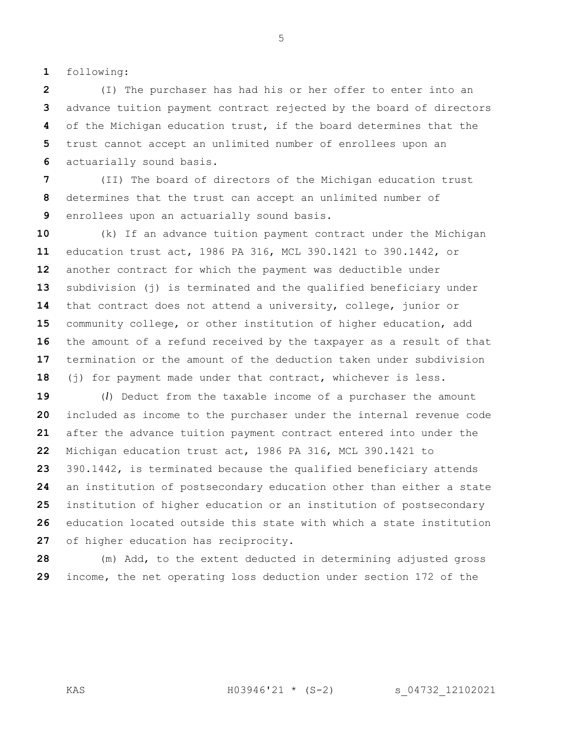following:

 (I) The purchaser has had his or her offer to enter into an advance tuition payment contract rejected by the board of directors of the Michigan education trust, if the board determines that the trust cannot accept an unlimited number of enrollees upon an actuarially sound basis.

 (II) The board of directors of the Michigan education trust determines that the trust can accept an unlimited number of enrollees upon an actuarially sound basis.

 (k) If an advance tuition payment contract under the Michigan education trust act, 1986 PA 316, MCL 390.1421 to 390.1442, or another contract for which the payment was deductible under subdivision (j) is terminated and the qualified beneficiary under that contract does not attend a university, college, junior or community college, or other institution of higher education, add the amount of a refund received by the taxpayer as a result of that termination or the amount of the deduction taken under subdivision (j) for payment made under that contract, whichever is less.

 (*l*) Deduct from the taxable income of a purchaser the amount included as income to the purchaser under the internal revenue code after the advance tuition payment contract entered into under the Michigan education trust act, 1986 PA 316, MCL 390.1421 to 390.1442, is terminated because the qualified beneficiary attends an institution of postsecondary education other than either a state institution of higher education or an institution of postsecondary education located outside this state with which a state institution of higher education has reciprocity.

 (m) Add, to the extent deducted in determining adjusted gross income, the net operating loss deduction under section 172 of the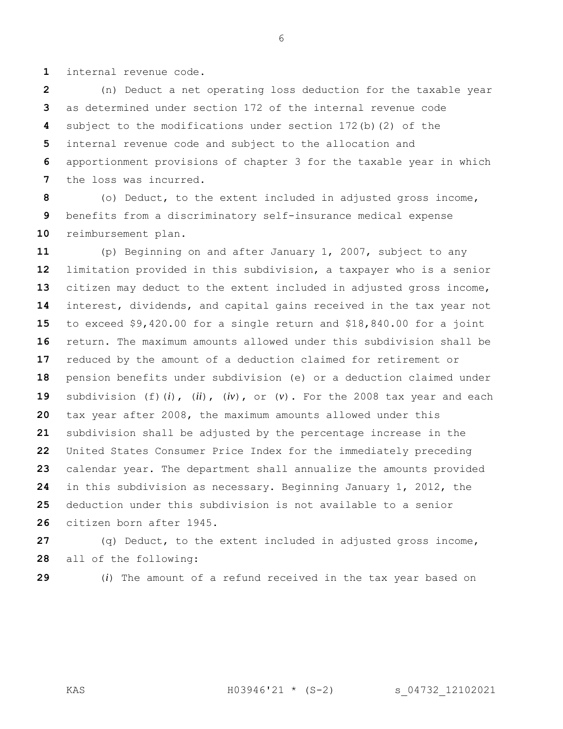internal revenue code.

 (n) Deduct a net operating loss deduction for the taxable year as determined under section 172 of the internal revenue code subject to the modifications under section 172(b)(2) of the internal revenue code and subject to the allocation and apportionment provisions of chapter 3 for the taxable year in which the loss was incurred.

 (o) Deduct, to the extent included in adjusted gross income, benefits from a discriminatory self-insurance medical expense reimbursement plan.

 (p) Beginning on and after January 1, 2007, subject to any limitation provided in this subdivision, a taxpayer who is a senior citizen may deduct to the extent included in adjusted gross income, interest, dividends, and capital gains received in the tax year not to exceed \$9,420.00 for a single return and \$18,840.00 for a joint return. The maximum amounts allowed under this subdivision shall be reduced by the amount of a deduction claimed for retirement or pension benefits under subdivision (e) or a deduction claimed under subdivision (f)(*i*), (*ii*), (*iv*), or (*v*). For the 2008 tax year and each tax year after 2008, the maximum amounts allowed under this subdivision shall be adjusted by the percentage increase in the United States Consumer Price Index for the immediately preceding calendar year. The department shall annualize the amounts provided in this subdivision as necessary. Beginning January 1, 2012, the deduction under this subdivision is not available to a senior citizen born after 1945.

 (q) Deduct, to the extent included in adjusted gross income, all of the following:

(*i*) The amount of a refund received in the tax year based on

KAS H03946'21 \* (S-2) s\_04732\_12102021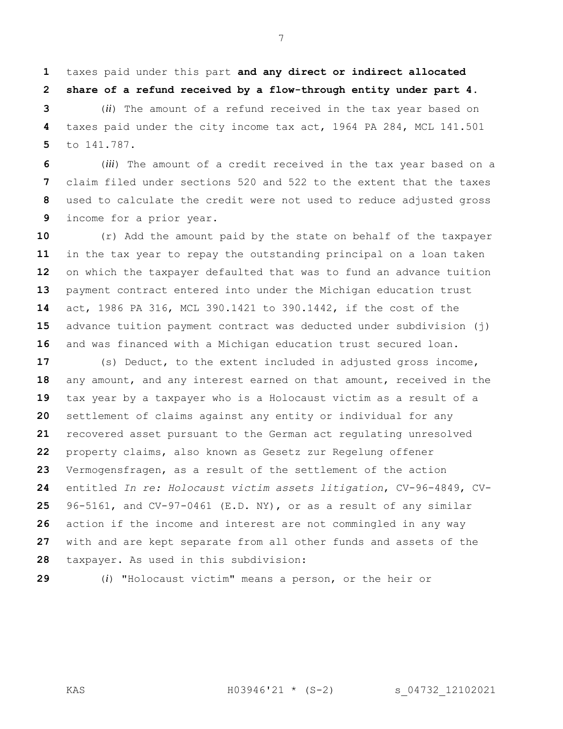taxes paid under this part **and any direct or indirect allocated share of a refund received by a flow-through entity under part 4**.

 (*ii*) The amount of a refund received in the tax year based on taxes paid under the city income tax act, 1964 PA 284, MCL 141.501 to 141.787.

 (*iii*) The amount of a credit received in the tax year based on a claim filed under sections 520 and 522 to the extent that the taxes used to calculate the credit were not used to reduce adjusted gross income for a prior year.

 (r) Add the amount paid by the state on behalf of the taxpayer in the tax year to repay the outstanding principal on a loan taken on which the taxpayer defaulted that was to fund an advance tuition payment contract entered into under the Michigan education trust act, 1986 PA 316, MCL 390.1421 to 390.1442, if the cost of the advance tuition payment contract was deducted under subdivision (j) and was financed with a Michigan education trust secured loan.

 (s) Deduct, to the extent included in adjusted gross income, any amount, and any interest earned on that amount, received in the tax year by a taxpayer who is a Holocaust victim as a result of a settlement of claims against any entity or individual for any recovered asset pursuant to the German act regulating unresolved property claims, also known as Gesetz zur Regelung offener Vermogensfragen, as a result of the settlement of the action entitled *In re: Holocaust victim assets litigation*, CV-96-4849, CV- 96-5161, and CV-97-0461 (E.D. NY), or as a result of any similar action if the income and interest are not commingled in any way with and are kept separate from all other funds and assets of the taxpayer. As used in this subdivision:

(*i*) "Holocaust victim" means a person, or the heir or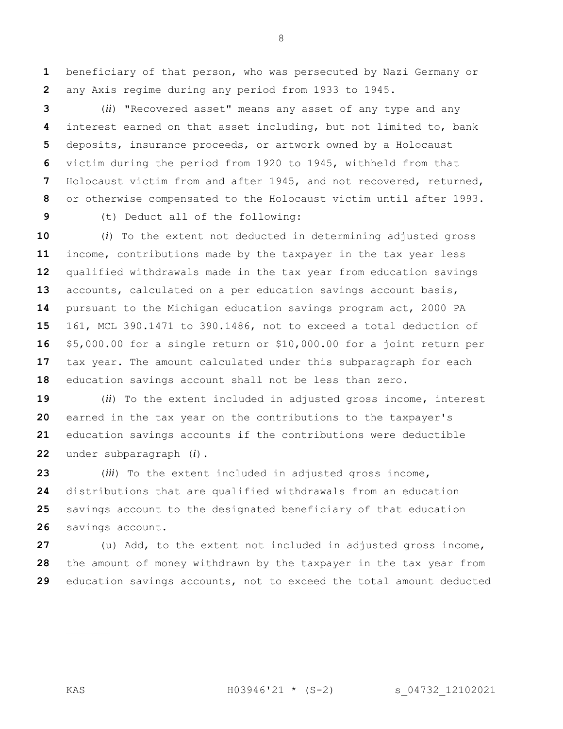beneficiary of that person, who was persecuted by Nazi Germany or any Axis regime during any period from 1933 to 1945.

 (*ii*) "Recovered asset" means any asset of any type and any interest earned on that asset including, but not limited to, bank deposits, insurance proceeds, or artwork owned by a Holocaust victim during the period from 1920 to 1945, withheld from that Holocaust victim from and after 1945, and not recovered, returned, or otherwise compensated to the Holocaust victim until after 1993. (t) Deduct all of the following:

 (*i*) To the extent not deducted in determining adjusted gross income, contributions made by the taxpayer in the tax year less qualified withdrawals made in the tax year from education savings accounts, calculated on a per education savings account basis, pursuant to the Michigan education savings program act, 2000 PA 161, MCL 390.1471 to 390.1486, not to exceed a total deduction of \$5,000.00 for a single return or \$10,000.00 for a joint return per tax year. The amount calculated under this subparagraph for each education savings account shall not be less than zero.

 (*ii*) To the extent included in adjusted gross income, interest earned in the tax year on the contributions to the taxpayer's education savings accounts if the contributions were deductible under subparagraph (*i*).

 (*iii*) To the extent included in adjusted gross income, distributions that are qualified withdrawals from an education savings account to the designated beneficiary of that education savings account.

 (u) Add, to the extent not included in adjusted gross income, the amount of money withdrawn by the taxpayer in the tax year from education savings accounts, not to exceed the total amount deducted

KAS H03946'21 \* (S-2) s\_04732\_12102021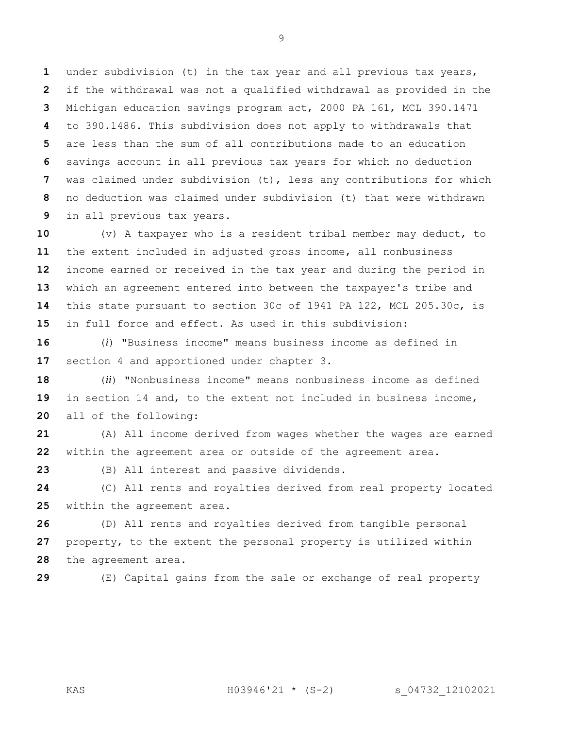under subdivision (t) in the tax year and all previous tax years, if the withdrawal was not a qualified withdrawal as provided in the Michigan education savings program act, 2000 PA 161, MCL 390.1471 to 390.1486. This subdivision does not apply to withdrawals that are less than the sum of all contributions made to an education savings account in all previous tax years for which no deduction was claimed under subdivision (t), less any contributions for which no deduction was claimed under subdivision (t) that were withdrawn in all previous tax years.

 (v) A taxpayer who is a resident tribal member may deduct, to the extent included in adjusted gross income, all nonbusiness income earned or received in the tax year and during the period in which an agreement entered into between the taxpayer's tribe and this state pursuant to section 30c of 1941 PA 122, MCL 205.30c, is in full force and effect. As used in this subdivision:

 (*i*) "Business income" means business income as defined in section 4 and apportioned under chapter 3.

 (*ii*) "Nonbusiness income" means nonbusiness income as defined in section 14 and, to the extent not included in business income, all of the following:

 (A) All income derived from wages whether the wages are earned within the agreement area or outside of the agreement area.

(B) All interest and passive dividends.

 (C) All rents and royalties derived from real property located within the agreement area.

 (D) All rents and royalties derived from tangible personal property, to the extent the personal property is utilized within the agreement area.

(E) Capital gains from the sale or exchange of real property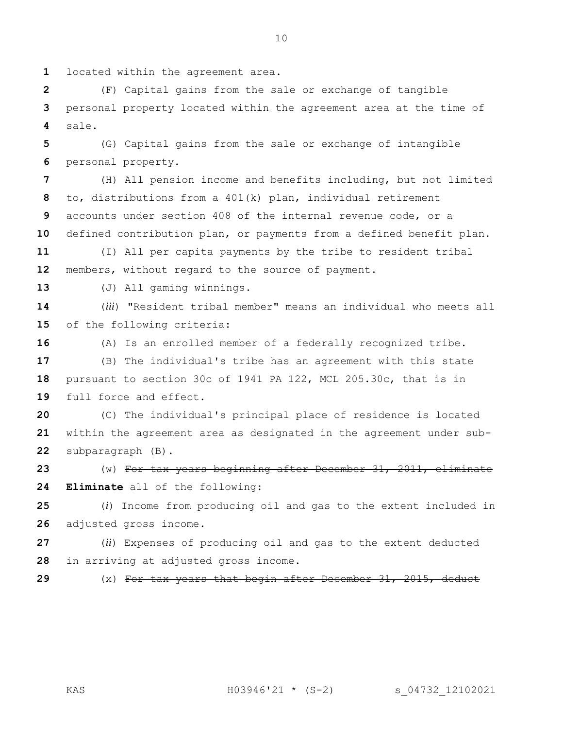located within the agreement area.

 (F) Capital gains from the sale or exchange of tangible personal property located within the agreement area at the time of sale.

 (G) Capital gains from the sale or exchange of intangible personal property.

 (H) All pension income and benefits including, but not limited to, distributions from a 401(k) plan, individual retirement accounts under section 408 of the internal revenue code, or a defined contribution plan, or payments from a defined benefit plan.

 (I) All per capita payments by the tribe to resident tribal members, without regard to the source of payment.

(J) All gaming winnings.

 (*iii*) "Resident tribal member" means an individual who meets all of the following criteria:

 (A) Is an enrolled member of a federally recognized tribe. (B) The individual's tribe has an agreement with this state pursuant to section 30c of 1941 PA 122, MCL 205.30c, that is in full force and effect.

 (C) The individual's principal place of residence is located within the agreement area as designated in the agreement under sub-subparagraph (B).

 (w) For tax years beginning after December 31, 2011, eliminate **Eliminate** all of the following:

 (*i*) Income from producing oil and gas to the extent included in adjusted gross income.

 (*ii*) Expenses of producing oil and gas to the extent deducted in arriving at adjusted gross income.

(x) For tax years that begin after December 31, 2015, deduct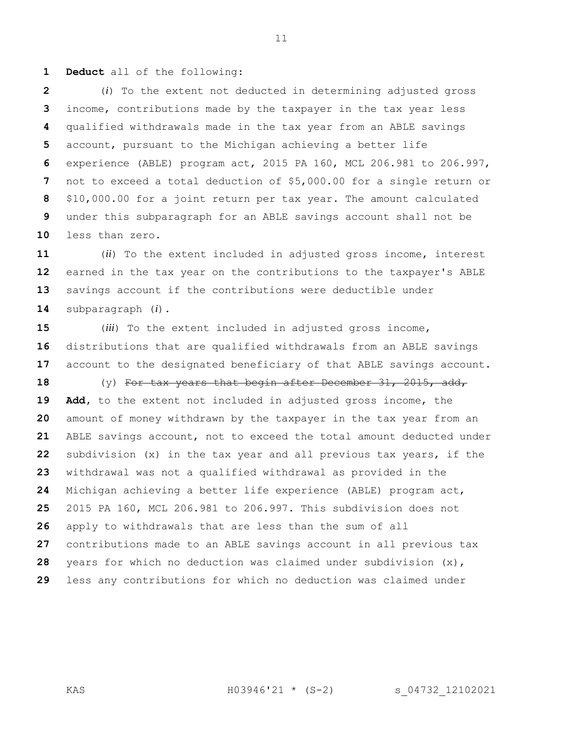**Deduct** all of the following:

 (*i*) To the extent not deducted in determining adjusted gross income, contributions made by the taxpayer in the tax year less qualified withdrawals made in the tax year from an ABLE savings account, pursuant to the Michigan achieving a better life experience (ABLE) program act, 2015 PA 160, MCL 206.981 to 206.997, not to exceed a total deduction of \$5,000.00 for a single return or \$10,000.00 for a joint return per tax year. The amount calculated under this subparagraph for an ABLE savings account shall not be less than zero.

 (*ii*) To the extent included in adjusted gross income, interest earned in the tax year on the contributions to the taxpayer's ABLE savings account if the contributions were deductible under subparagraph (*i*).

 (*iii*) To the extent included in adjusted gross income, distributions that are qualified withdrawals from an ABLE savings account to the designated beneficiary of that ABLE savings account.

 (y) For tax years that begin after December 31, 2015, add, **Add,** to the extent not included in adjusted gross income, the amount of money withdrawn by the taxpayer in the tax year from an ABLE savings account, not to exceed the total amount deducted under subdivision (x) in the tax year and all previous tax years, if the withdrawal was not a qualified withdrawal as provided in the Michigan achieving a better life experience (ABLE) program act, 2015 PA 160, MCL 206.981 to 206.997. This subdivision does not apply to withdrawals that are less than the sum of all contributions made to an ABLE savings account in all previous tax years for which no deduction was claimed under subdivision (x), less any contributions for which no deduction was claimed under

KAS H03946'21 \* (S-2) s\_04732\_12102021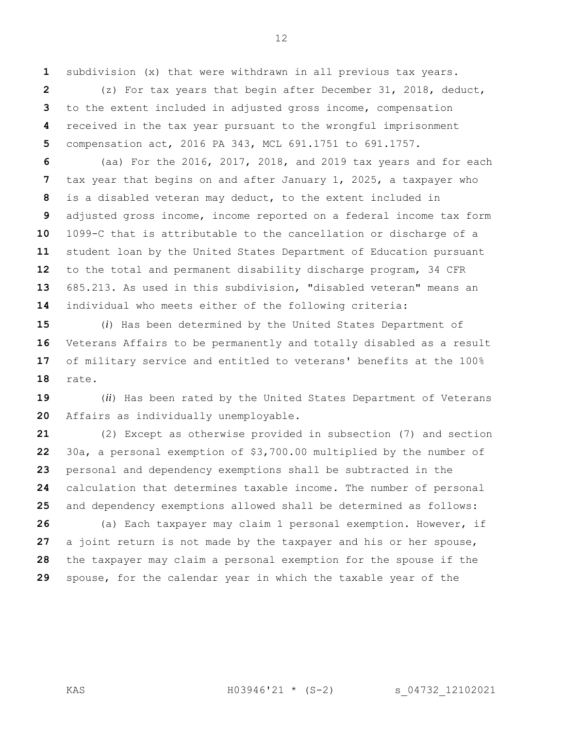subdivision (x) that were withdrawn in all previous tax years.

 (z) For tax years that begin after December 31, 2018, deduct, to the extent included in adjusted gross income, compensation received in the tax year pursuant to the wrongful imprisonment compensation act, 2016 PA 343, MCL 691.1751 to 691.1757.

 (aa) For the 2016, 2017, 2018, and 2019 tax years and for each tax year that begins on and after January 1, 2025, a taxpayer who is a disabled veteran may deduct, to the extent included in adjusted gross income, income reported on a federal income tax form 1099-C that is attributable to the cancellation or discharge of a student loan by the United States Department of Education pursuant to the total and permanent disability discharge program, 34 CFR 685.213. As used in this subdivision, "disabled veteran" means an individual who meets either of the following criteria:

 (*i*) Has been determined by the United States Department of Veterans Affairs to be permanently and totally disabled as a result of military service and entitled to veterans' benefits at the 100% rate.

 (*ii*) Has been rated by the United States Department of Veterans Affairs as individually unemployable.

 (2) Except as otherwise provided in subsection (7) and section 30a, a personal exemption of \$3,700.00 multiplied by the number of personal and dependency exemptions shall be subtracted in the calculation that determines taxable income. The number of personal and dependency exemptions allowed shall be determined as follows:

 (a) Each taxpayer may claim 1 personal exemption. However, if a joint return is not made by the taxpayer and his or her spouse, the taxpayer may claim a personal exemption for the spouse if the spouse, for the calendar year in which the taxable year of the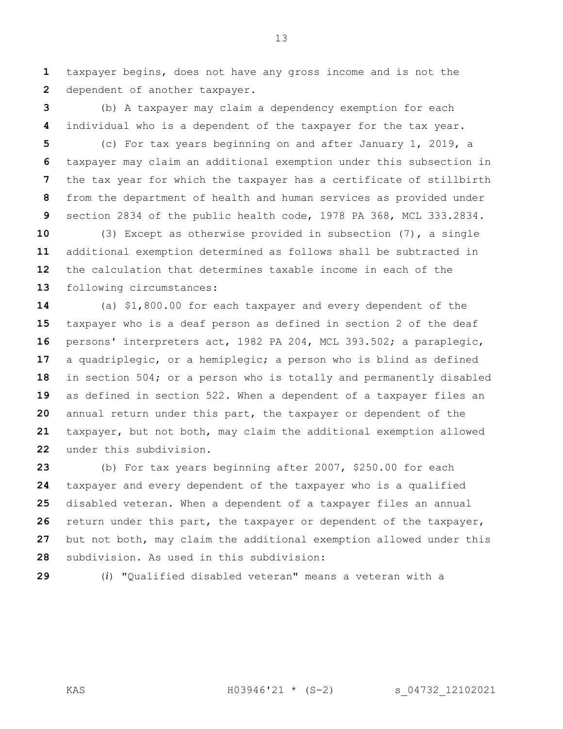taxpayer begins, does not have any gross income and is not the dependent of another taxpayer.

 (b) A taxpayer may claim a dependency exemption for each individual who is a dependent of the taxpayer for the tax year.

 (c) For tax years beginning on and after January 1, 2019, a taxpayer may claim an additional exemption under this subsection in the tax year for which the taxpayer has a certificate of stillbirth from the department of health and human services as provided under section 2834 of the public health code, 1978 PA 368, MCL 333.2834.

 (3) Except as otherwise provided in subsection (7), a single additional exemption determined as follows shall be subtracted in the calculation that determines taxable income in each of the following circumstances:

 (a) \$1,800.00 for each taxpayer and every dependent of the taxpayer who is a deaf person as defined in section 2 of the deaf persons' interpreters act, 1982 PA 204, MCL 393.502; a paraplegic, a quadriplegic, or a hemiplegic; a person who is blind as defined in section 504; or a person who is totally and permanently disabled as defined in section 522. When a dependent of a taxpayer files an annual return under this part, the taxpayer or dependent of the taxpayer, but not both, may claim the additional exemption allowed under this subdivision.

 (b) For tax years beginning after 2007, \$250.00 for each taxpayer and every dependent of the taxpayer who is a qualified disabled veteran. When a dependent of a taxpayer files an annual return under this part, the taxpayer or dependent of the taxpayer, but not both, may claim the additional exemption allowed under this subdivision. As used in this subdivision:

(*i*) "Qualified disabled veteran" means a veteran with a

KAS H03946'21 \* (S-2) s\_04732\_12102021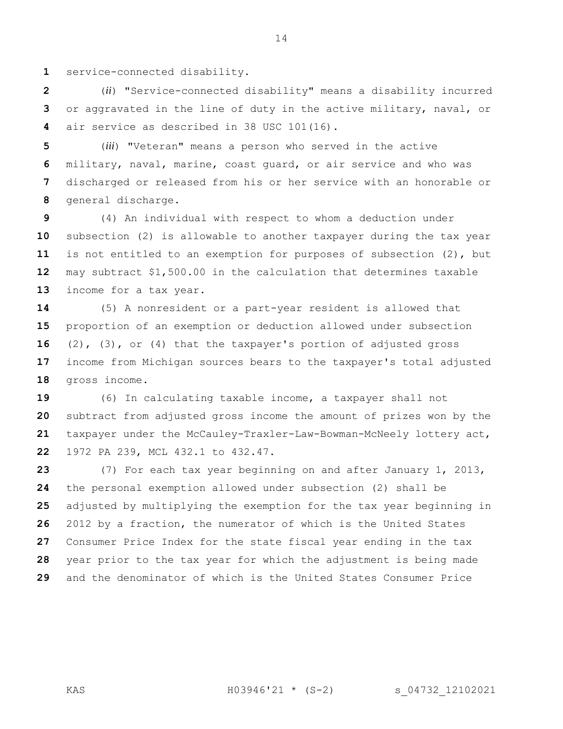service-connected disability.

 (*ii*) "Service-connected disability" means a disability incurred or aggravated in the line of duty in the active military, naval, or air service as described in 38 USC 101(16).

 (*iii*) "Veteran" means a person who served in the active military, naval, marine, coast guard, or air service and who was discharged or released from his or her service with an honorable or general discharge.

 (4) An individual with respect to whom a deduction under subsection (2) is allowable to another taxpayer during the tax year is not entitled to an exemption for purposes of subsection (2), but may subtract \$1,500.00 in the calculation that determines taxable income for a tax year.

 (5) A nonresident or a part-year resident is allowed that proportion of an exemption or deduction allowed under subsection (2), (3), or (4) that the taxpayer's portion of adjusted gross income from Michigan sources bears to the taxpayer's total adjusted gross income.

 (6) In calculating taxable income, a taxpayer shall not subtract from adjusted gross income the amount of prizes won by the taxpayer under the McCauley-Traxler-Law-Bowman-McNeely lottery act, 1972 PA 239, MCL 432.1 to 432.47.

 (7) For each tax year beginning on and after January 1, 2013, the personal exemption allowed under subsection (2) shall be adjusted by multiplying the exemption for the tax year beginning in 2012 by a fraction, the numerator of which is the United States Consumer Price Index for the state fiscal year ending in the tax year prior to the tax year for which the adjustment is being made and the denominator of which is the United States Consumer Price

KAS H03946'21 \* (S-2) s\_04732\_12102021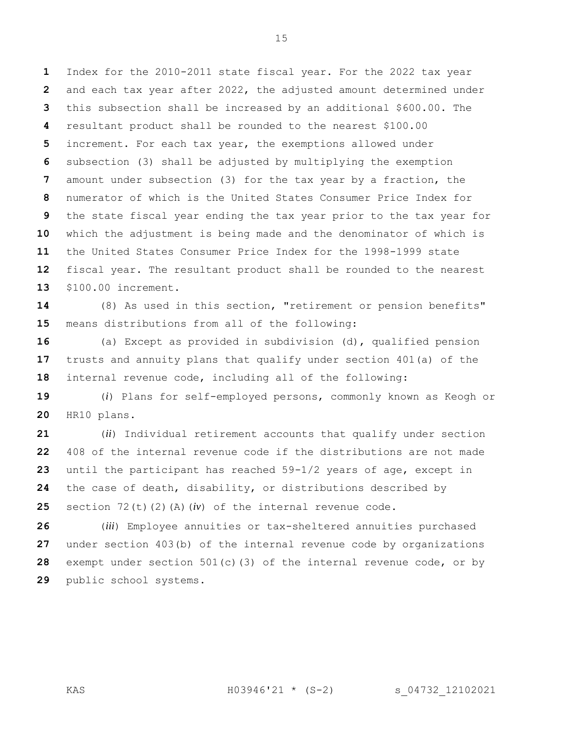Index for the 2010-2011 state fiscal year. For the 2022 tax year and each tax year after 2022, the adjusted amount determined under this subsection shall be increased by an additional \$600.00. The resultant product shall be rounded to the nearest \$100.00 increment. For each tax year, the exemptions allowed under subsection (3) shall be adjusted by multiplying the exemption amount under subsection (3) for the tax year by a fraction, the numerator of which is the United States Consumer Price Index for the state fiscal year ending the tax year prior to the tax year for which the adjustment is being made and the denominator of which is the United States Consumer Price Index for the 1998-1999 state fiscal year. The resultant product shall be rounded to the nearest \$100.00 increment.

 (8) As used in this section, "retirement or pension benefits" means distributions from all of the following:

 (a) Except as provided in subdivision (d), qualified pension trusts and annuity plans that qualify under section 401(a) of the internal revenue code, including all of the following:

 (*i*) Plans for self-employed persons, commonly known as Keogh or HR10 plans.

 (*ii*) Individual retirement accounts that qualify under section 408 of the internal revenue code if the distributions are not made until the participant has reached 59-1/2 years of age, except in the case of death, disability, or distributions described by section 72(t)(2)(A)(*iv*) of the internal revenue code.

 (*iii*) Employee annuities or tax-sheltered annuities purchased under section 403(b) of the internal revenue code by organizations exempt under section 501(c)(3) of the internal revenue code, or by public school systems.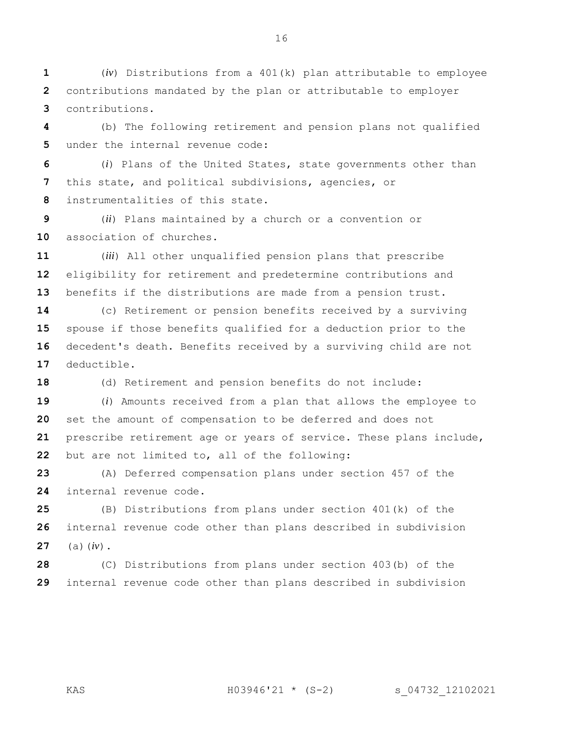(*iv*) Distributions from a 401(k) plan attributable to employee contributions mandated by the plan or attributable to employer contributions.

 (b) The following retirement and pension plans not qualified under the internal revenue code:

 (*i*) Plans of the United States, state governments other than this state, and political subdivisions, agencies, or instrumentalities of this state.

 (*ii*) Plans maintained by a church or a convention or association of churches.

 (*iii*) All other unqualified pension plans that prescribe eligibility for retirement and predetermine contributions and benefits if the distributions are made from a pension trust.

 (c) Retirement or pension benefits received by a surviving spouse if those benefits qualified for a deduction prior to the decedent's death. Benefits received by a surviving child are not deductible.

(d) Retirement and pension benefits do not include:

 (*i*) Amounts received from a plan that allows the employee to set the amount of compensation to be deferred and does not prescribe retirement age or years of service. These plans include, but are not limited to, all of the following:

 (A) Deferred compensation plans under section 457 of the internal revenue code.

 (B) Distributions from plans under section 401(k) of the internal revenue code other than plans described in subdivision (a)(*iv*).

 (C) Distributions from plans under section 403(b) of the internal revenue code other than plans described in subdivision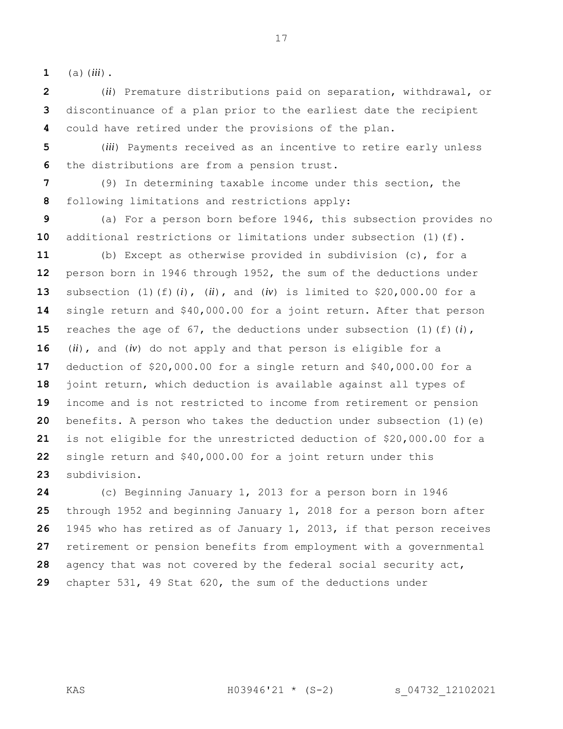(a)(*iii*).

 discontinuance of a plan prior to the earliest date the recipient could have retired under the provisions of the plan.

 (*iii*) Payments received as an incentive to retire early unless the distributions are from a pension trust.

 (9) In determining taxable income under this section, the following limitations and restrictions apply:

 (a) For a person born before 1946, this subsection provides no 10 additional restrictions or limitations under subsection (1)(f).

 (b) Except as otherwise provided in subdivision (c), for a person born in 1946 through 1952, the sum of the deductions under subsection (1)(f)(*i*), (*ii*), and (*iv*) is limited to \$20,000.00 for a single return and \$40,000.00 for a joint return. After that person reaches the age of 67, the deductions under subsection (1)(f)(*i*), (*ii*), and (*iv*) do not apply and that person is eligible for a deduction of \$20,000.00 for a single return and \$40,000.00 for a joint return, which deduction is available against all types of income and is not restricted to income from retirement or pension benefits. A person who takes the deduction under subsection (1)(e) is not eligible for the unrestricted deduction of \$20,000.00 for a single return and \$40,000.00 for a joint return under this subdivision.

 (c) Beginning January 1, 2013 for a person born in 1946 through 1952 and beginning January 1, 2018 for a person born after 1945 who has retired as of January 1, 2013, if that person receives retirement or pension benefits from employment with a governmental agency that was not covered by the federal social security act, chapter 531, 49 Stat 620, the sum of the deductions under

(*ii*) Premature distributions paid on separation, withdrawal, or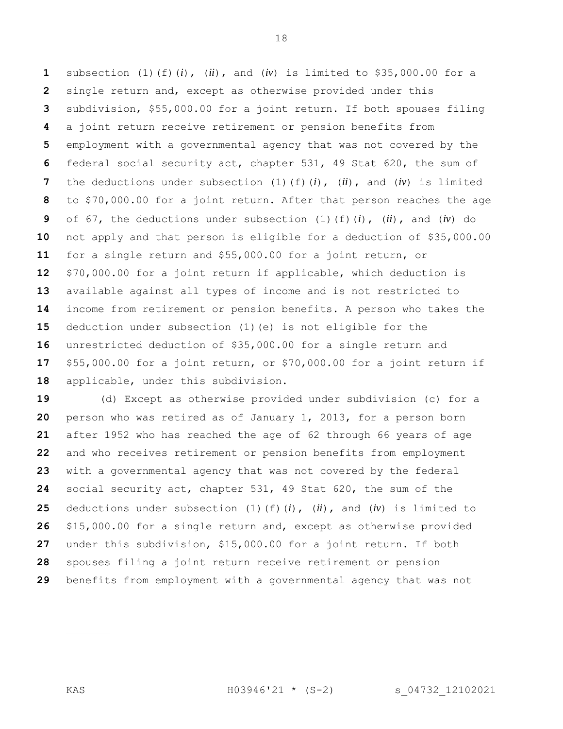subsection (1)(f)(*i*), (*ii*), and (*iv*) is limited to \$35,000.00 for a single return and, except as otherwise provided under this subdivision, \$55,000.00 for a joint return. If both spouses filing a joint return receive retirement or pension benefits from employment with a governmental agency that was not covered by the federal social security act, chapter 531, 49 Stat 620, the sum of the deductions under subsection (1)(f)(*i*), (*ii*), and (*iv*) is limited to \$70,000.00 for a joint return. After that person reaches the age of 67, the deductions under subsection (1)(f)(*i*), (*ii*), and (*iv*) do not apply and that person is eligible for a deduction of \$35,000.00 for a single return and \$55,000.00 for a joint return, or \$70,000.00 for a joint return if applicable, which deduction is available against all types of income and is not restricted to income from retirement or pension benefits. A person who takes the deduction under subsection (1)(e) is not eligible for the unrestricted deduction of \$35,000.00 for a single return and \$55,000.00 for a joint return, or \$70,000.00 for a joint return if applicable, under this subdivision.

 (d) Except as otherwise provided under subdivision (c) for a person who was retired as of January 1, 2013, for a person born after 1952 who has reached the age of 62 through 66 years of age and who receives retirement or pension benefits from employment with a governmental agency that was not covered by the federal social security act, chapter 531, 49 Stat 620, the sum of the deductions under subsection (1)(f)(*i*), (*ii*), and (*iv*) is limited to \$15,000.00 for a single return and, except as otherwise provided under this subdivision, \$15,000.00 for a joint return. If both spouses filing a joint return receive retirement or pension benefits from employment with a governmental agency that was not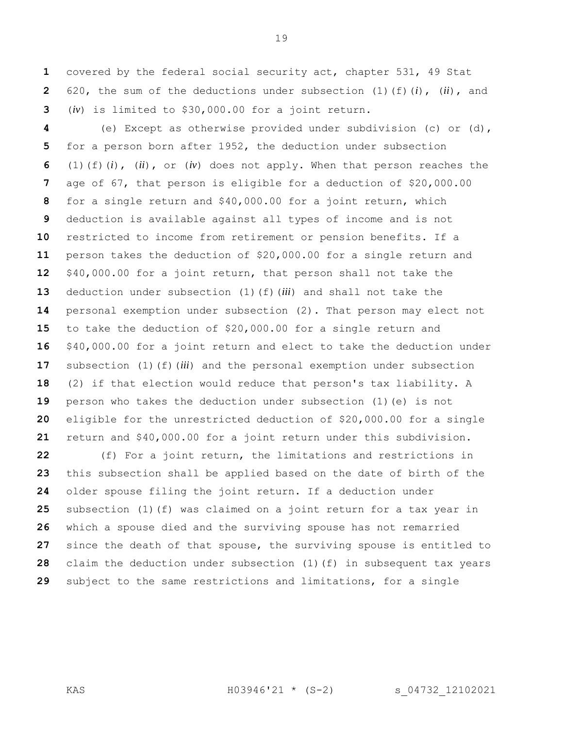covered by the federal social security act, chapter 531, 49 Stat 620, the sum of the deductions under subsection (1)(f)(*i*), (*ii*), and (*iv*) is limited to \$30,000.00 for a joint return.

 (e) Except as otherwise provided under subdivision (c) or (d), for a person born after 1952, the deduction under subsection (1)(f)(*i*), (*ii*), or (*iv*) does not apply. When that person reaches the age of 67, that person is eligible for a deduction of \$20,000.00 for a single return and \$40,000.00 for a joint return, which deduction is available against all types of income and is not restricted to income from retirement or pension benefits. If a person takes the deduction of \$20,000.00 for a single return and \$40,000.00 for a joint return, that person shall not take the deduction under subsection (1)(f)(*iii*) and shall not take the personal exemption under subsection (2). That person may elect not to take the deduction of \$20,000.00 for a single return and \$40,000.00 for a joint return and elect to take the deduction under subsection (1)(f)(*iii*) and the personal exemption under subsection (2) if that election would reduce that person's tax liability. A person who takes the deduction under subsection (1)(e) is not eligible for the unrestricted deduction of \$20,000.00 for a single return and \$40,000.00 for a joint return under this subdivision.

 (f) For a joint return, the limitations and restrictions in this subsection shall be applied based on the date of birth of the older spouse filing the joint return. If a deduction under subsection (1)(f) was claimed on a joint return for a tax year in which a spouse died and the surviving spouse has not remarried since the death of that spouse, the surviving spouse is entitled to claim the deduction under subsection (1)(f) in subsequent tax years subject to the same restrictions and limitations, for a single

KAS H03946'21 \* (S-2) s\_04732\_12102021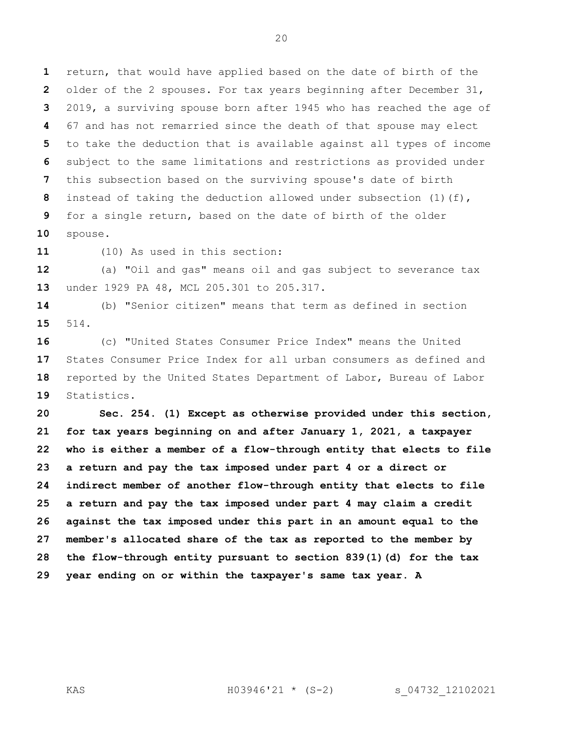return, that would have applied based on the date of birth of the older of the 2 spouses. For tax years beginning after December 31, 2019, a surviving spouse born after 1945 who has reached the age of 67 and has not remarried since the death of that spouse may elect to take the deduction that is available against all types of income subject to the same limitations and restrictions as provided under this subsection based on the surviving spouse's date of birth instead of taking the deduction allowed under subsection (1)(f), for a single return, based on the date of birth of the older spouse.

(10) As used in this section:

 (a) "Oil and gas" means oil and gas subject to severance tax under 1929 PA 48, MCL 205.301 to 205.317.

 (b) "Senior citizen" means that term as defined in section 514.

 (c) "United States Consumer Price Index" means the United States Consumer Price Index for all urban consumers as defined and reported by the United States Department of Labor, Bureau of Labor Statistics.

 **Sec. 254. (1) Except as otherwise provided under this section, for tax years beginning on and after January 1, 2021, a taxpayer who is either a member of a flow-through entity that elects to file a return and pay the tax imposed under part 4 or a direct or indirect member of another flow-through entity that elects to file a return and pay the tax imposed under part 4 may claim a credit against the tax imposed under this part in an amount equal to the member's allocated share of the tax as reported to the member by the flow-through entity pursuant to section 839(1)(d) for the tax year ending on or within the taxpayer's same tax year. A**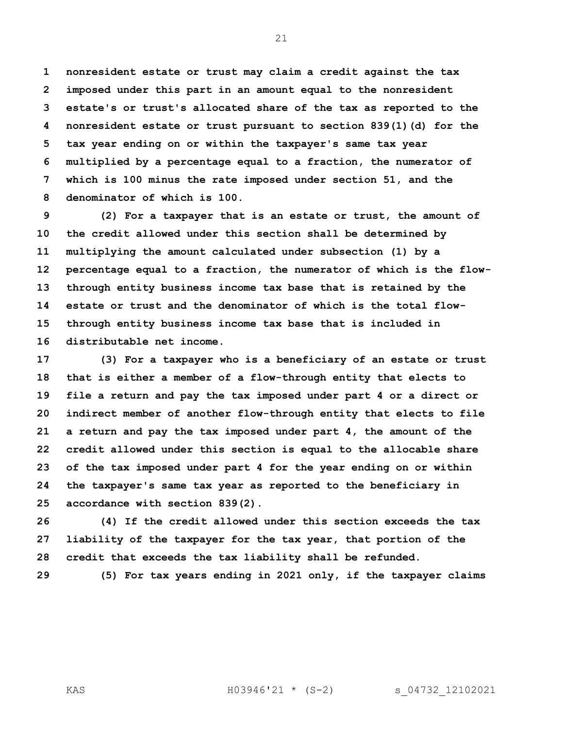**nonresident estate or trust may claim a credit against the tax imposed under this part in an amount equal to the nonresident estate's or trust's allocated share of the tax as reported to the nonresident estate or trust pursuant to section 839(1)(d) for the tax year ending on or within the taxpayer's same tax year multiplied by a percentage equal to a fraction, the numerator of which is 100 minus the rate imposed under section 51, and the denominator of which is 100.**

 **(2) For a taxpayer that is an estate or trust, the amount of the credit allowed under this section shall be determined by multiplying the amount calculated under subsection (1) by a percentage equal to a fraction, the numerator of which is the flow- through entity business income tax base that is retained by the estate or trust and the denominator of which is the total flow- through entity business income tax base that is included in distributable net income.**

 **(3) For a taxpayer who is a beneficiary of an estate or trust that is either a member of a flow-through entity that elects to file a return and pay the tax imposed under part 4 or a direct or indirect member of another flow-through entity that elects to file a return and pay the tax imposed under part 4, the amount of the credit allowed under this section is equal to the allocable share of the tax imposed under part 4 for the year ending on or within the taxpayer's same tax year as reported to the beneficiary in accordance with section 839(2).**

 **(4) If the credit allowed under this section exceeds the tax liability of the taxpayer for the tax year, that portion of the credit that exceeds the tax liability shall be refunded.**

**(5) For tax years ending in 2021 only, if the taxpayer claims**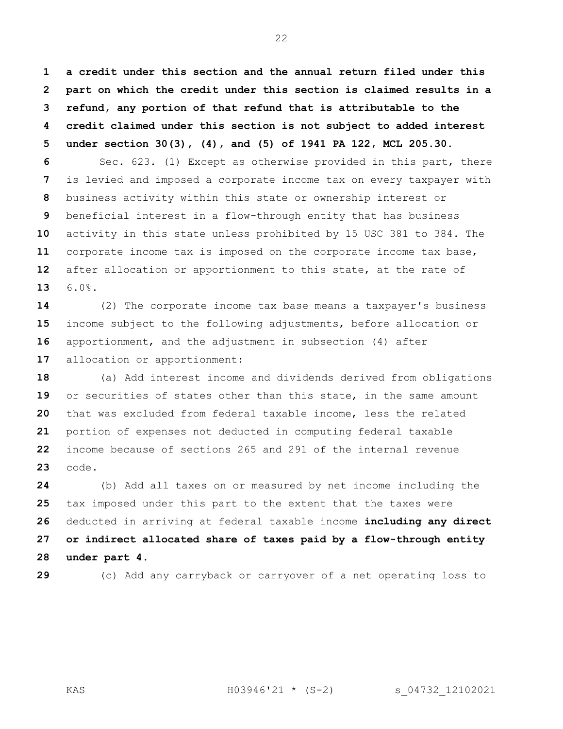**a credit under this section and the annual return filed under this part on which the credit under this section is claimed results in a refund, any portion of that refund that is attributable to the credit claimed under this section is not subject to added interest under section 30(3), (4), and (5) of 1941 PA 122, MCL 205.30.**

 Sec. 623. (1) Except as otherwise provided in this part, there is levied and imposed a corporate income tax on every taxpayer with business activity within this state or ownership interest or beneficial interest in a flow-through entity that has business activity in this state unless prohibited by 15 USC 381 to 384. The corporate income tax is imposed on the corporate income tax base, after allocation or apportionment to this state, at the rate of 6.0%.

 (2) The corporate income tax base means a taxpayer's business income subject to the following adjustments, before allocation or apportionment, and the adjustment in subsection (4) after allocation or apportionment:

 (a) Add interest income and dividends derived from obligations or securities of states other than this state, in the same amount that was excluded from federal taxable income, less the related portion of expenses not deducted in computing federal taxable income because of sections 265 and 291 of the internal revenue code.

 (b) Add all taxes on or measured by net income including the tax imposed under this part to the extent that the taxes were deducted in arriving at federal taxable income **including any direct or indirect allocated share of taxes paid by a flow-through entity under part 4**.

(c) Add any carryback or carryover of a net operating loss to

KAS H03946'21 \* (S-2) s\_04732\_12102021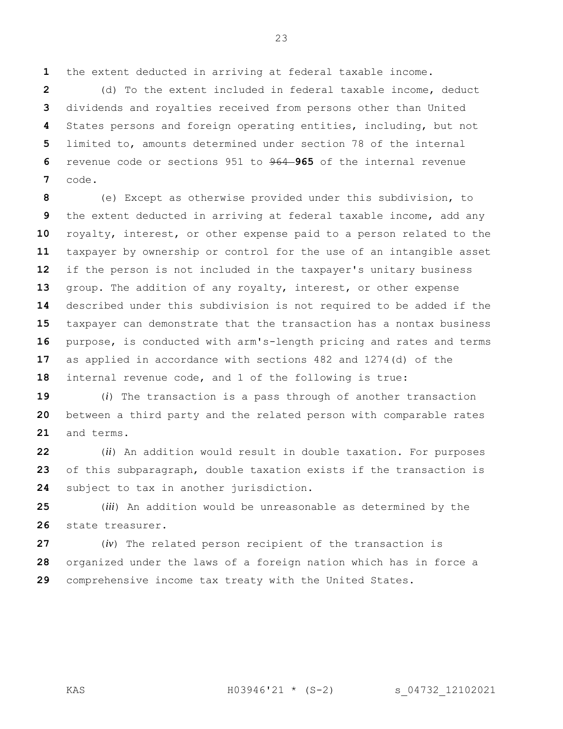the extent deducted in arriving at federal taxable income.

 (d) To the extent included in federal taxable income, deduct dividends and royalties received from persons other than United States persons and foreign operating entities, including, but not limited to, amounts determined under section 78 of the internal revenue code or sections 951 to 964 **965** of the internal revenue code.

 (e) Except as otherwise provided under this subdivision, to the extent deducted in arriving at federal taxable income, add any royalty, interest, or other expense paid to a person related to the taxpayer by ownership or control for the use of an intangible asset if the person is not included in the taxpayer's unitary business group. The addition of any royalty, interest, or other expense described under this subdivision is not required to be added if the taxpayer can demonstrate that the transaction has a nontax business purpose, is conducted with arm's-length pricing and rates and terms as applied in accordance with sections 482 and 1274(d) of the internal revenue code, and 1 of the following is true:

 (*i*) The transaction is a pass through of another transaction between a third party and the related person with comparable rates and terms.

 (*ii*) An addition would result in double taxation. For purposes of this subparagraph, double taxation exists if the transaction is subject to tax in another jurisdiction.

 (*iii*) An addition would be unreasonable as determined by the state treasurer.

 (*iv*) The related person recipient of the transaction is organized under the laws of a foreign nation which has in force a comprehensive income tax treaty with the United States.

KAS H03946'21 \* (S-2) s\_04732\_12102021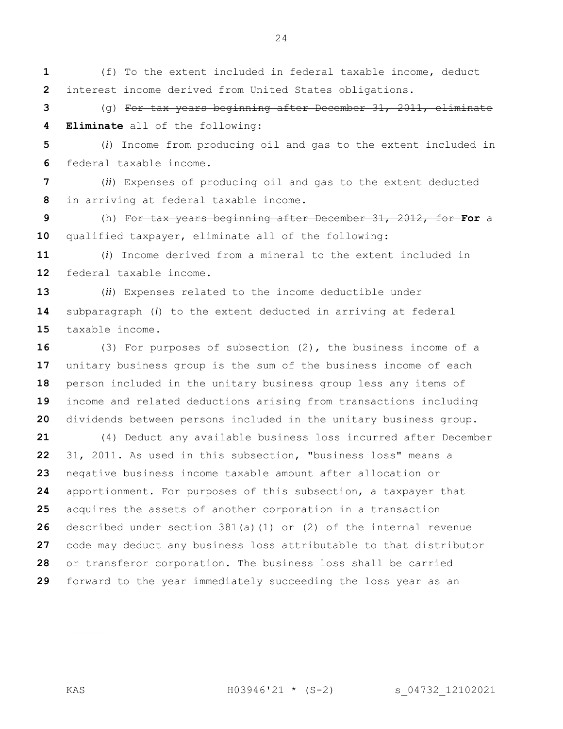(f) To the extent included in federal taxable income, deduct interest income derived from United States obligations.

 (g) For tax years beginning after December 31, 2011, eliminate **Eliminate** all of the following:

 (*i*) Income from producing oil and gas to the extent included in federal taxable income.

 (*ii*) Expenses of producing oil and gas to the extent deducted in arriving at federal taxable income.

 (h) For tax years beginning after December 31, 2012, for **For** a qualified taxpayer, eliminate all of the following:

 (*i*) Income derived from a mineral to the extent included in federal taxable income.

 (*ii*) Expenses related to the income deductible under subparagraph (*i*) to the extent deducted in arriving at federal taxable income.

 (3) For purposes of subsection (2), the business income of a unitary business group is the sum of the business income of each person included in the unitary business group less any items of income and related deductions arising from transactions including dividends between persons included in the unitary business group.

 (4) Deduct any available business loss incurred after December 31, 2011. As used in this subsection, "business loss" means a negative business income taxable amount after allocation or apportionment. For purposes of this subsection, a taxpayer that acquires the assets of another corporation in a transaction described under section 381(a)(1) or (2) of the internal revenue code may deduct any business loss attributable to that distributor or transferor corporation. The business loss shall be carried forward to the year immediately succeeding the loss year as an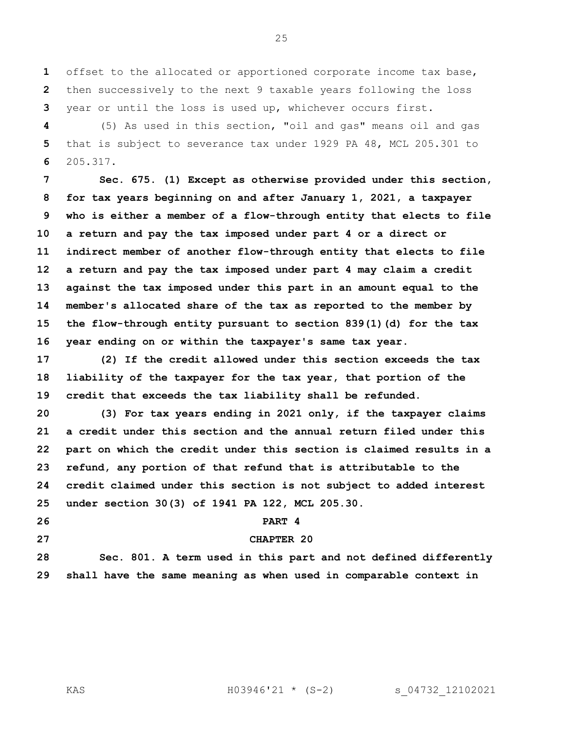offset to the allocated or apportioned corporate income tax base, then successively to the next 9 taxable years following the loss year or until the loss is used up, whichever occurs first.

 (5) As used in this section, "oil and gas" means oil and gas that is subject to severance tax under 1929 PA 48, MCL 205.301 to 205.317.

 **Sec. 675. (1) Except as otherwise provided under this section, for tax years beginning on and after January 1, 2021, a taxpayer who is either a member of a flow-through entity that elects to file a return and pay the tax imposed under part 4 or a direct or indirect member of another flow-through entity that elects to file a return and pay the tax imposed under part 4 may claim a credit against the tax imposed under this part in an amount equal to the member's allocated share of the tax as reported to the member by the flow-through entity pursuant to section 839(1)(d) for the tax year ending on or within the taxpayer's same tax year.**

 **(2) If the credit allowed under this section exceeds the tax liability of the taxpayer for the tax year, that portion of the credit that exceeds the tax liability shall be refunded.**

 **(3) For tax years ending in 2021 only, if the taxpayer claims a credit under this section and the annual return filed under this part on which the credit under this section is claimed results in a refund, any portion of that refund that is attributable to the credit claimed under this section is not subject to added interest under section 30(3) of 1941 PA 122, MCL 205.30.**

### **PART 4**

## **CHAPTER 20**

 **Sec. 801. A term used in this part and not defined differently shall have the same meaning as when used in comparable context in**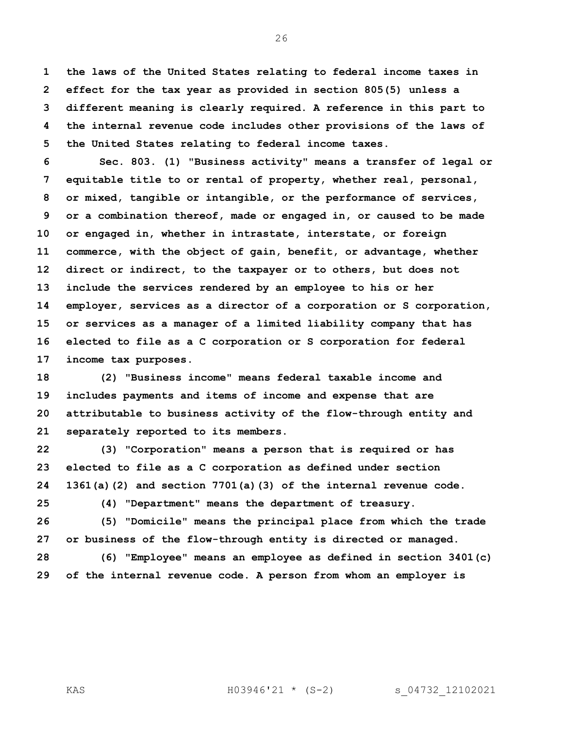**the laws of the United States relating to federal income taxes in effect for the tax year as provided in section 805(5) unless a different meaning is clearly required. A reference in this part to the internal revenue code includes other provisions of the laws of the United States relating to federal income taxes.**

 **Sec. 803. (1) "Business activity" means a transfer of legal or equitable title to or rental of property, whether real, personal, or mixed, tangible or intangible, or the performance of services, or a combination thereof, made or engaged in, or caused to be made or engaged in, whether in intrastate, interstate, or foreign commerce, with the object of gain, benefit, or advantage, whether direct or indirect, to the taxpayer or to others, but does not include the services rendered by an employee to his or her employer, services as a director of a corporation or S corporation, or services as a manager of a limited liability company that has elected to file as a C corporation or S corporation for federal income tax purposes.**

 **(2) "Business income" means federal taxable income and includes payments and items of income and expense that are attributable to business activity of the flow-through entity and separately reported to its members.**

 **(3) "Corporation" means a person that is required or has elected to file as a C corporation as defined under section 1361(a)(2) and section 7701(a)(3) of the internal revenue code.**

**(4) "Department" means the department of treasury.**

 **(5) "Domicile" means the principal place from which the trade or business of the flow-through entity is directed or managed.**

 **(6) "Employee" means an employee as defined in section 3401(c) of the internal revenue code. A person from whom an employer is**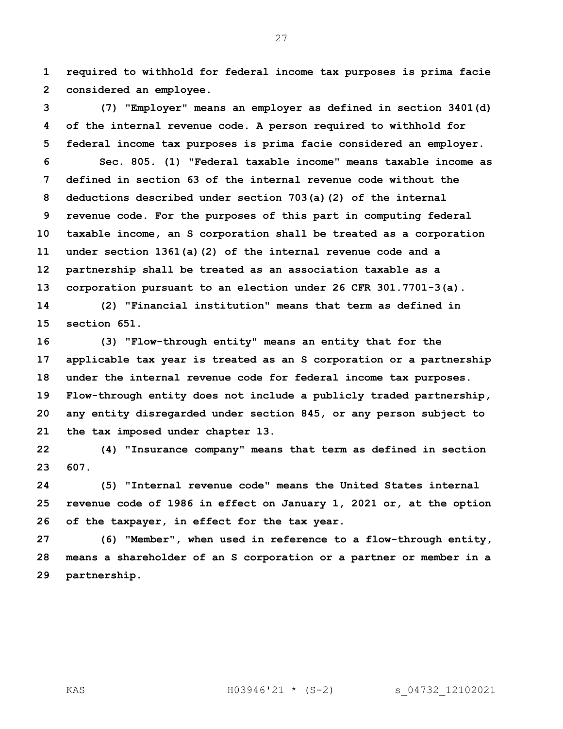**required to withhold for federal income tax purposes is prima facie considered an employee.**

 **(7) "Employer" means an employer as defined in section 3401(d) of the internal revenue code. A person required to withhold for federal income tax purposes is prima facie considered an employer. Sec. 805. (1) "Federal taxable income" means taxable income as defined in section 63 of the internal revenue code without the deductions described under section 703(a)(2) of the internal revenue code. For the purposes of this part in computing federal taxable income, an S corporation shall be treated as a corporation under section 1361(a)(2) of the internal revenue code and a partnership shall be treated as an association taxable as a corporation pursuant to an election under 26 CFR 301.7701-3(a).**

 **(2) "Financial institution" means that term as defined in section 651.**

 **(3) "Flow-through entity" means an entity that for the applicable tax year is treated as an S corporation or a partnership under the internal revenue code for federal income tax purposes. Flow-through entity does not include a publicly traded partnership, any entity disregarded under section 845, or any person subject to the tax imposed under chapter 13.**

 **(4) "Insurance company" means that term as defined in section 607.**

 **(5) "Internal revenue code" means the United States internal revenue code of 1986 in effect on January 1, 2021 or, at the option of the taxpayer, in effect for the tax year.**

 **(6) "Member", when used in reference to a flow-through entity, means a shareholder of an S corporation or a partner or member in a partnership.**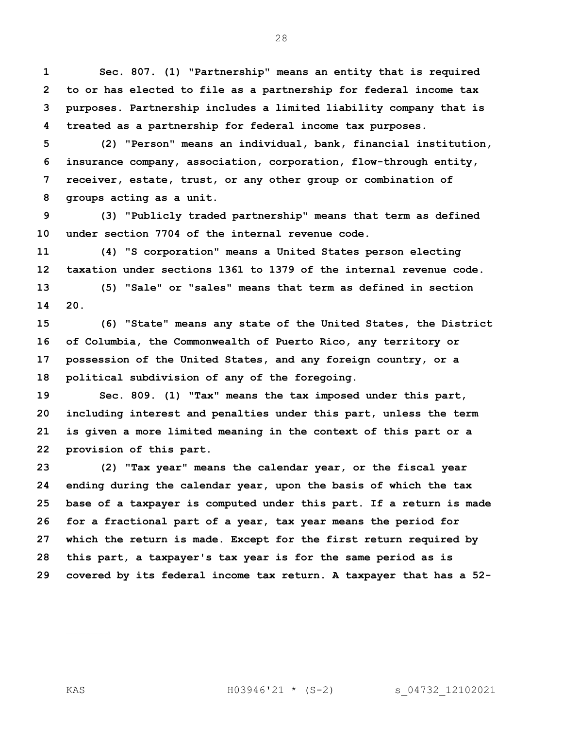**Sec. 807. (1) "Partnership" means an entity that is required to or has elected to file as a partnership for federal income tax purposes. Partnership includes a limited liability company that is treated as a partnership for federal income tax purposes.**

 **(2) "Person" means an individual, bank, financial institution, insurance company, association, corporation, flow-through entity, receiver, estate, trust, or any other group or combination of groups acting as a unit.**

 **(3) "Publicly traded partnership" means that term as defined under section 7704 of the internal revenue code.**

 **(4) "S corporation" means a United States person electing taxation under sections 1361 to 1379 of the internal revenue code. (5) "Sale" or "sales" means that term as defined in section 20.**

 **(6) "State" means any state of the United States, the District of Columbia, the Commonwealth of Puerto Rico, any territory or possession of the United States, and any foreign country, or a political subdivision of any of the foregoing.**

 **Sec. 809. (1) "Tax" means the tax imposed under this part, including interest and penalties under this part, unless the term is given a more limited meaning in the context of this part or a provision of this part.**

 **(2) "Tax year" means the calendar year, or the fiscal year ending during the calendar year, upon the basis of which the tax base of a taxpayer is computed under this part. If a return is made for a fractional part of a year, tax year means the period for which the return is made. Except for the first return required by this part, a taxpayer's tax year is for the same period as is covered by its federal income tax return. A taxpayer that has a 52-**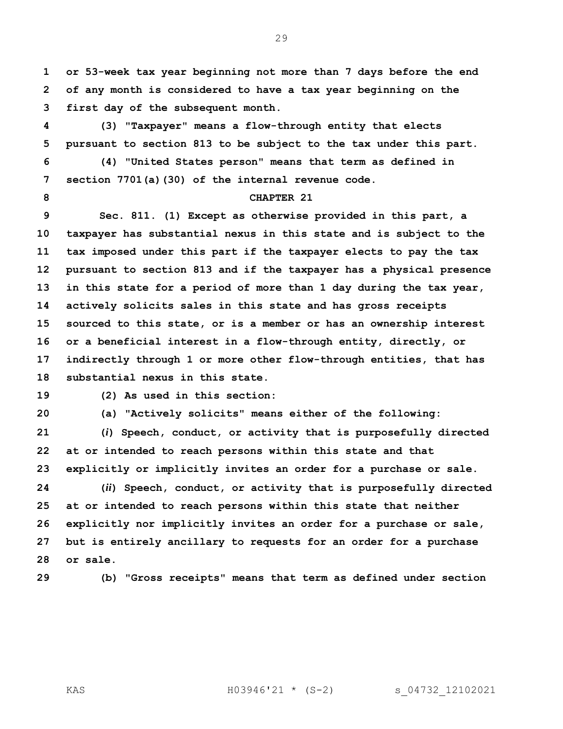**or 53-week tax year beginning not more than 7 days before the end of any month is considered to have a tax year beginning on the first day of the subsequent month.**

 **(3) "Taxpayer" means a flow-through entity that elects pursuant to section 813 to be subject to the tax under this part.**

 **(4) "United States person" means that term as defined in section 7701(a)(30) of the internal revenue code.**

# **CHAPTER 21**

 **Sec. 811. (1) Except as otherwise provided in this part, a taxpayer has substantial nexus in this state and is subject to the tax imposed under this part if the taxpayer elects to pay the tax pursuant to section 813 and if the taxpayer has a physical presence in this state for a period of more than 1 day during the tax year, actively solicits sales in this state and has gross receipts sourced to this state, or is a member or has an ownership interest or a beneficial interest in a flow-through entity, directly, or indirectly through 1 or more other flow-through entities, that has substantial nexus in this state.**

**(2) As used in this section:**

**(a) "Actively solicits" means either of the following:**

 **(***i***) Speech, conduct, or activity that is purposefully directed at or intended to reach persons within this state and that explicitly or implicitly invites an order for a purchase or sale.**

 **(***ii***) Speech, conduct, or activity that is purposefully directed at or intended to reach persons within this state that neither explicitly nor implicitly invites an order for a purchase or sale, but is entirely ancillary to requests for an order for a purchase or sale.**

**(b) "Gross receipts" means that term as defined under section**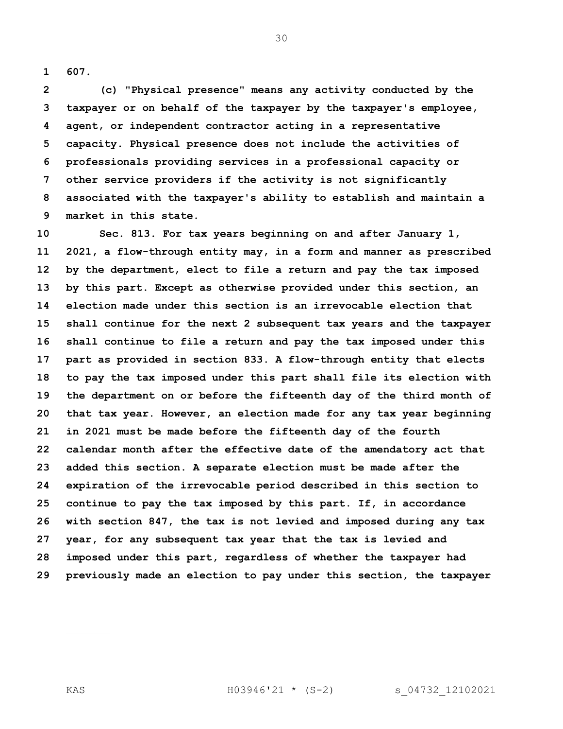**607.**

 **(c) "Physical presence" means any activity conducted by the taxpayer or on behalf of the taxpayer by the taxpayer's employee, agent, or independent contractor acting in a representative capacity. Physical presence does not include the activities of professionals providing services in a professional capacity or other service providers if the activity is not significantly associated with the taxpayer's ability to establish and maintain a market in this state.**

 **Sec. 813. For tax years beginning on and after January 1, 2021, a flow-through entity may, in a form and manner as prescribed by the department, elect to file a return and pay the tax imposed by this part. Except as otherwise provided under this section, an election made under this section is an irrevocable election that shall continue for the next 2 subsequent tax years and the taxpayer shall continue to file a return and pay the tax imposed under this part as provided in section 833. A flow-through entity that elects to pay the tax imposed under this part shall file its election with the department on or before the fifteenth day of the third month of that tax year. However, an election made for any tax year beginning in 2021 must be made before the fifteenth day of the fourth calendar month after the effective date of the amendatory act that added this section. A separate election must be made after the expiration of the irrevocable period described in this section to continue to pay the tax imposed by this part. If, in accordance with section 847, the tax is not levied and imposed during any tax year, for any subsequent tax year that the tax is levied and imposed under this part, regardless of whether the taxpayer had previously made an election to pay under this section, the taxpayer**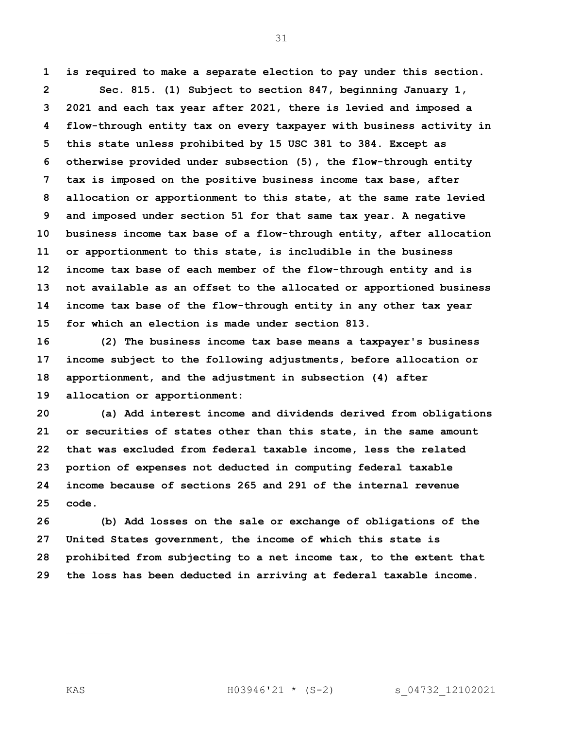**is required to make a separate election to pay under this section. Sec. 815. (1) Subject to section 847, beginning January 1, 2021 and each tax year after 2021, there is levied and imposed a flow-through entity tax on every taxpayer with business activity in this state unless prohibited by 15 USC 381 to 384. Except as otherwise provided under subsection (5), the flow-through entity tax is imposed on the positive business income tax base, after allocation or apportionment to this state, at the same rate levied and imposed under section 51 for that same tax year. A negative business income tax base of a flow-through entity, after allocation or apportionment to this state, is includible in the business income tax base of each member of the flow-through entity and is not available as an offset to the allocated or apportioned business income tax base of the flow-through entity in any other tax year for which an election is made under section 813.**

 **(2) The business income tax base means a taxpayer's business income subject to the following adjustments, before allocation or apportionment, and the adjustment in subsection (4) after allocation or apportionment:**

 **(a) Add interest income and dividends derived from obligations or securities of states other than this state, in the same amount that was excluded from federal taxable income, less the related portion of expenses not deducted in computing federal taxable income because of sections 265 and 291 of the internal revenue code.**

 **(b) Add losses on the sale or exchange of obligations of the United States government, the income of which this state is prohibited from subjecting to a net income tax, to the extent that the loss has been deducted in arriving at federal taxable income.**

KAS H03946'21 \* (S-2) s\_04732\_12102021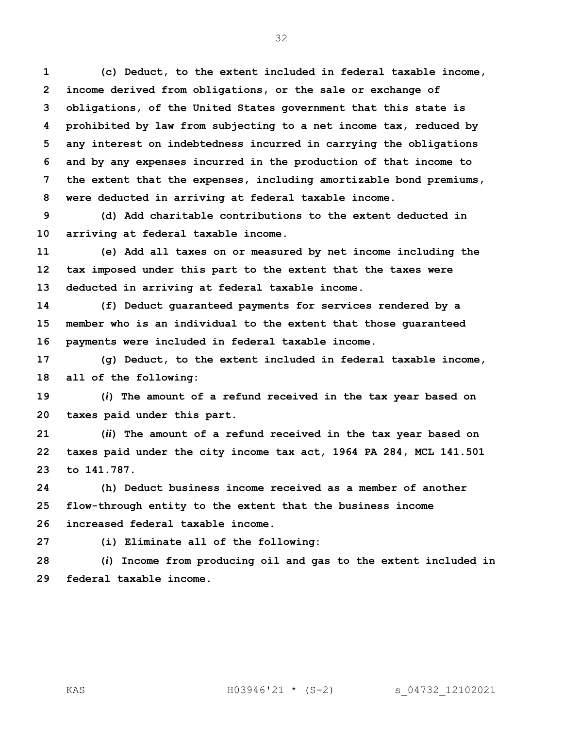**(c) Deduct, to the extent included in federal taxable income, income derived from obligations, or the sale or exchange of obligations, of the United States government that this state is prohibited by law from subjecting to a net income tax, reduced by any interest on indebtedness incurred in carrying the obligations and by any expenses incurred in the production of that income to the extent that the expenses, including amortizable bond premiums, were deducted in arriving at federal taxable income.**

 **(d) Add charitable contributions to the extent deducted in arriving at federal taxable income.**

 **(e) Add all taxes on or measured by net income including the tax imposed under this part to the extent that the taxes were deducted in arriving at federal taxable income.**

 **(f) Deduct guaranteed payments for services rendered by a member who is an individual to the extent that those guaranteed payments were included in federal taxable income.**

 **(g) Deduct, to the extent included in federal taxable income, all of the following:**

 **(***i***) The amount of a refund received in the tax year based on taxes paid under this part.**

 **(***ii***) The amount of a refund received in the tax year based on taxes paid under the city income tax act, 1964 PA 284, MCL 141.501 to 141.787.**

 **(h) Deduct business income received as a member of another flow-through entity to the extent that the business income increased federal taxable income.**

**(i) Eliminate all of the following:**

 **(***i***) Income from producing oil and gas to the extent included in federal taxable income.**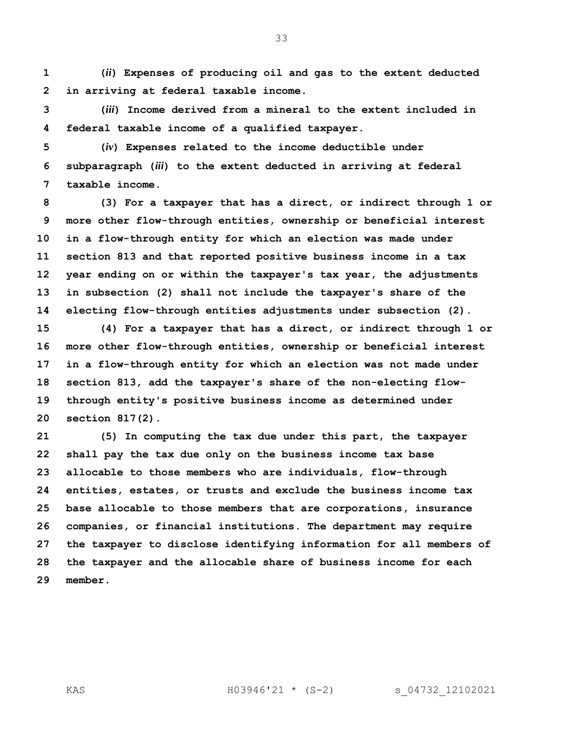**(***ii***) Expenses of producing oil and gas to the extent deducted in arriving at federal taxable income.**

 **(***iii***) Income derived from a mineral to the extent included in federal taxable income of a qualified taxpayer.**

 **(***iv***) Expenses related to the income deductible under subparagraph (***iii***) to the extent deducted in arriving at federal taxable income.**

 **(3) For a taxpayer that has a direct, or indirect through 1 or more other flow-through entities, ownership or beneficial interest in a flow-through entity for which an election was made under section 813 and that reported positive business income in a tax year ending on or within the taxpayer's tax year, the adjustments in subsection (2) shall not include the taxpayer's share of the electing flow-through entities adjustments under subsection (2).**

 **(4) For a taxpayer that has a direct, or indirect through 1 or more other flow-through entities, ownership or beneficial interest in a flow-through entity for which an election was not made under section 813, add the taxpayer's share of the non-electing flow- through entity's positive business income as determined under section 817(2).** 

 **(5) In computing the tax due under this part, the taxpayer shall pay the tax due only on the business income tax base allocable to those members who are individuals, flow-through entities, estates, or trusts and exclude the business income tax base allocable to those members that are corporations, insurance companies, or financial institutions. The department may require the taxpayer to disclose identifying information for all members of the taxpayer and the allocable share of business income for each member.**

KAS H03946'21 \* (S-2) s\_04732\_12102021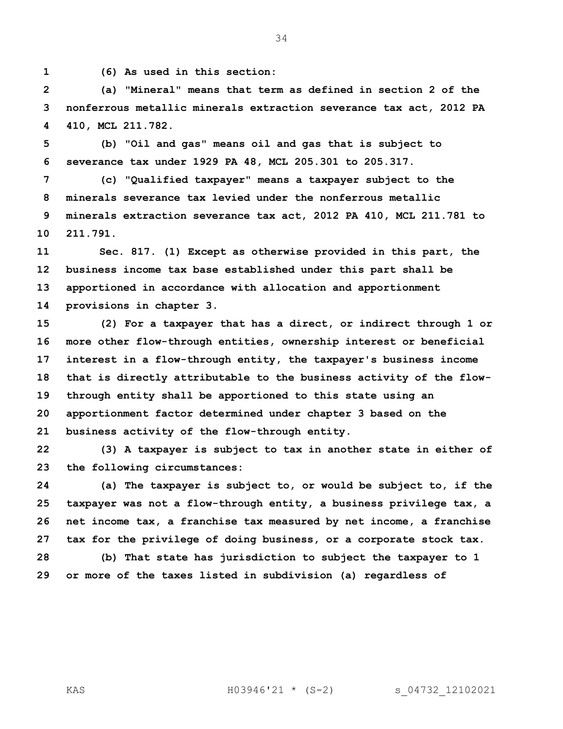**(6) As used in this section:** 

 **(a) "Mineral" means that term as defined in section 2 of the nonferrous metallic minerals extraction severance tax act, 2012 PA 410, MCL 211.782.**

 **(b) "Oil and gas" means oil and gas that is subject to severance tax under 1929 PA 48, MCL 205.301 to 205.317.** 

 **(c) "Qualified taxpayer" means a taxpayer subject to the minerals severance tax levied under the nonferrous metallic minerals extraction severance tax act, 2012 PA 410, MCL 211.781 to 211.791.**

 **Sec. 817. (1) Except as otherwise provided in this part, the business income tax base established under this part shall be apportioned in accordance with allocation and apportionment provisions in chapter 3.**

 **(2) For a taxpayer that has a direct, or indirect through 1 or more other flow-through entities, ownership interest or beneficial interest in a flow-through entity, the taxpayer's business income that is directly attributable to the business activity of the flow- through entity shall be apportioned to this state using an apportionment factor determined under chapter 3 based on the business activity of the flow-through entity.**

 **(3) A taxpayer is subject to tax in another state in either of the following circumstances:**

 **(a) The taxpayer is subject to, or would be subject to, if the taxpayer was not a flow-through entity, a business privilege tax, a net income tax, a franchise tax measured by net income, a franchise tax for the privilege of doing business, or a corporate stock tax.**

 **(b) That state has jurisdiction to subject the taxpayer to 1 or more of the taxes listed in subdivision (a) regardless of**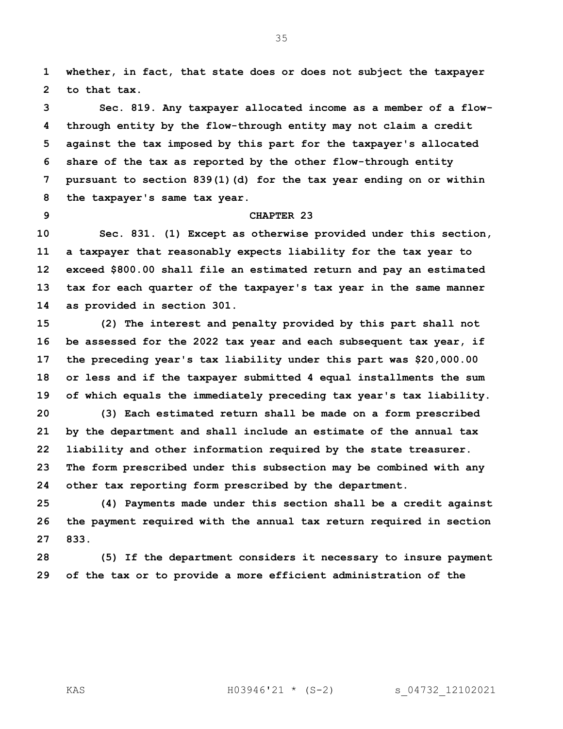**whether, in fact, that state does or does not subject the taxpayer to that tax.**

 **Sec. 819. Any taxpayer allocated income as a member of a flow- through entity by the flow-through entity may not claim a credit against the tax imposed by this part for the taxpayer's allocated share of the tax as reported by the other flow-through entity pursuant to section 839(1)(d) for the tax year ending on or within the taxpayer's same tax year.**

## **CHAPTER 23**

 **Sec. 831. (1) Except as otherwise provided under this section, a taxpayer that reasonably expects liability for the tax year to exceed \$800.00 shall file an estimated return and pay an estimated tax for each quarter of the taxpayer's tax year in the same manner as provided in section 301.**

 **(2) The interest and penalty provided by this part shall not be assessed for the 2022 tax year and each subsequent tax year, if the preceding year's tax liability under this part was \$20,000.00 or less and if the taxpayer submitted 4 equal installments the sum of which equals the immediately preceding tax year's tax liability. (3) Each estimated return shall be made on a form prescribed by the department and shall include an estimate of the annual tax liability and other information required by the state treasurer. The form prescribed under this subsection may be combined with any** 

**other tax reporting form prescribed by the department.**

 **(4) Payments made under this section shall be a credit against the payment required with the annual tax return required in section 833.**

 **(5) If the department considers it necessary to insure payment of the tax or to provide a more efficient administration of the**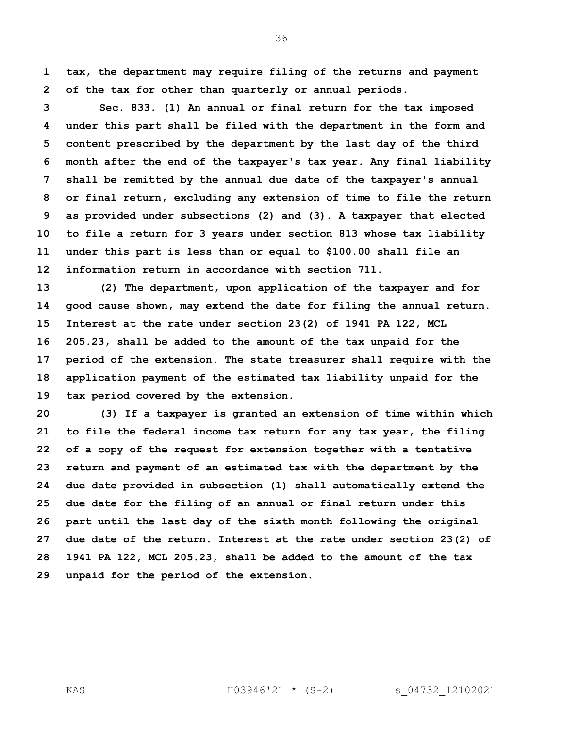**tax, the department may require filing of the returns and payment of the tax for other than quarterly or annual periods.**

 **Sec. 833. (1) An annual or final return for the tax imposed under this part shall be filed with the department in the form and content prescribed by the department by the last day of the third month after the end of the taxpayer's tax year. Any final liability shall be remitted by the annual due date of the taxpayer's annual or final return, excluding any extension of time to file the return as provided under subsections (2) and (3). A taxpayer that elected to file a return for 3 years under section 813 whose tax liability under this part is less than or equal to \$100.00 shall file an information return in accordance with section 711.**

 **(2) The department, upon application of the taxpayer and for good cause shown, may extend the date for filing the annual return. Interest at the rate under section 23(2) of 1941 PA 122, MCL 205.23, shall be added to the amount of the tax unpaid for the period of the extension. The state treasurer shall require with the application payment of the estimated tax liability unpaid for the tax period covered by the extension.**

 **(3) If a taxpayer is granted an extension of time within which to file the federal income tax return for any tax year, the filing of a copy of the request for extension together with a tentative return and payment of an estimated tax with the department by the due date provided in subsection (1) shall automatically extend the due date for the filing of an annual or final return under this part until the last day of the sixth month following the original due date of the return. Interest at the rate under section 23(2) of 1941 PA 122, MCL 205.23, shall be added to the amount of the tax unpaid for the period of the extension.**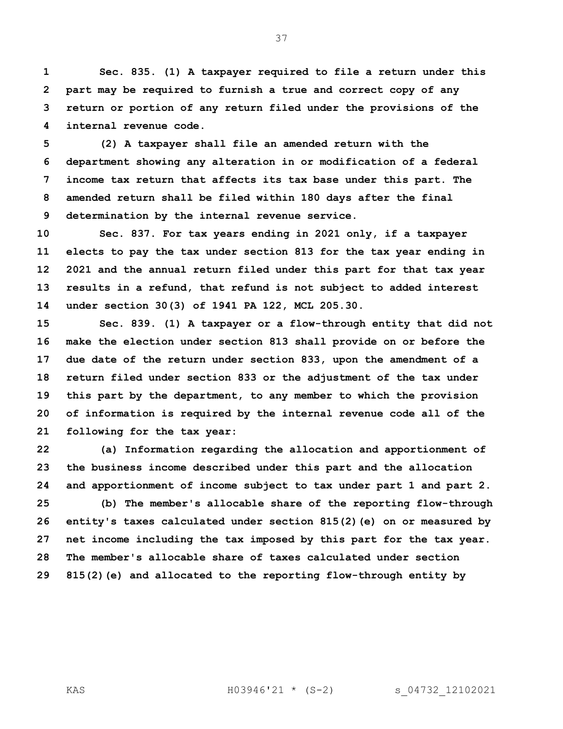**Sec. 835. (1) A taxpayer required to file a return under this part may be required to furnish a true and correct copy of any return or portion of any return filed under the provisions of the internal revenue code.**

 **(2) A taxpayer shall file an amended return with the department showing any alteration in or modification of a federal income tax return that affects its tax base under this part. The amended return shall be filed within 180 days after the final determination by the internal revenue service.**

 **Sec. 837. For tax years ending in 2021 only, if a taxpayer elects to pay the tax under section 813 for the tax year ending in 2021 and the annual return filed under this part for that tax year results in a refund, that refund is not subject to added interest under section 30(3) of 1941 PA 122, MCL 205.30.**

 **Sec. 839. (1) A taxpayer or a flow-through entity that did not make the election under section 813 shall provide on or before the due date of the return under section 833, upon the amendment of a return filed under section 833 or the adjustment of the tax under this part by the department, to any member to which the provision of information is required by the internal revenue code all of the following for the tax year:**

 **(a) Information regarding the allocation and apportionment of the business income described under this part and the allocation and apportionment of income subject to tax under part 1 and part 2. (b) The member's allocable share of the reporting flow-through entity's taxes calculated under section 815(2)(e) on or measured by net income including the tax imposed by this part for the tax year. The member's allocable share of taxes calculated under section 815(2)(e) and allocated to the reporting flow-through entity by**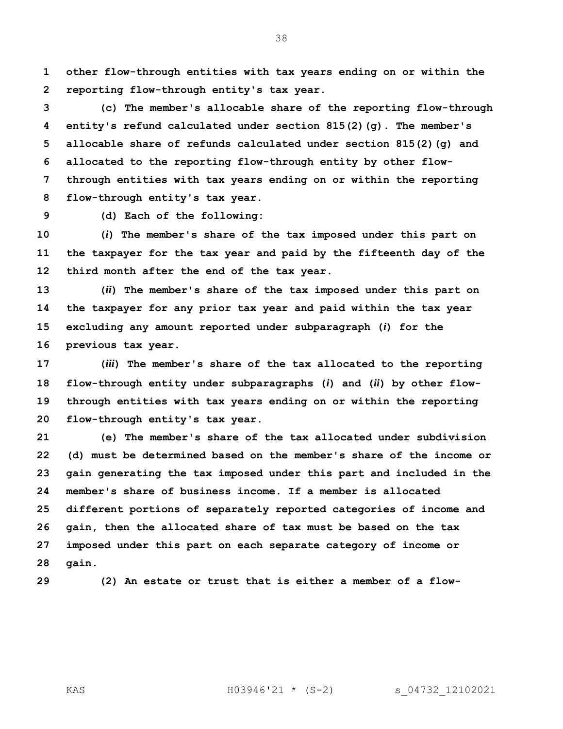**other flow-through entities with tax years ending on or within the reporting flow-through entity's tax year.**

 **(c) The member's allocable share of the reporting flow-through entity's refund calculated under section 815(2)(g). The member's allocable share of refunds calculated under section 815(2)(g) and allocated to the reporting flow-through entity by other flow- through entities with tax years ending on or within the reporting flow-through entity's tax year.**

**(d) Each of the following:**

 **(***i***) The member's share of the tax imposed under this part on the taxpayer for the tax year and paid by the fifteenth day of the third month after the end of the tax year.**

 **(***ii***) The member's share of the tax imposed under this part on the taxpayer for any prior tax year and paid within the tax year excluding any amount reported under subparagraph (***i***) for the previous tax year.**

 **(***iii***) The member's share of the tax allocated to the reporting flow-through entity under subparagraphs (***i***) and (***ii***) by other flow- through entities with tax years ending on or within the reporting flow-through entity's tax year.**

 **(e) The member's share of the tax allocated under subdivision (d) must be determined based on the member's share of the income or gain generating the tax imposed under this part and included in the member's share of business income. If a member is allocated different portions of separately reported categories of income and gain, then the allocated share of tax must be based on the tax imposed under this part on each separate category of income or gain.**

**(2) An estate or trust that is either a member of a flow-**

KAS H03946'21 \* (S-2) s\_04732\_12102021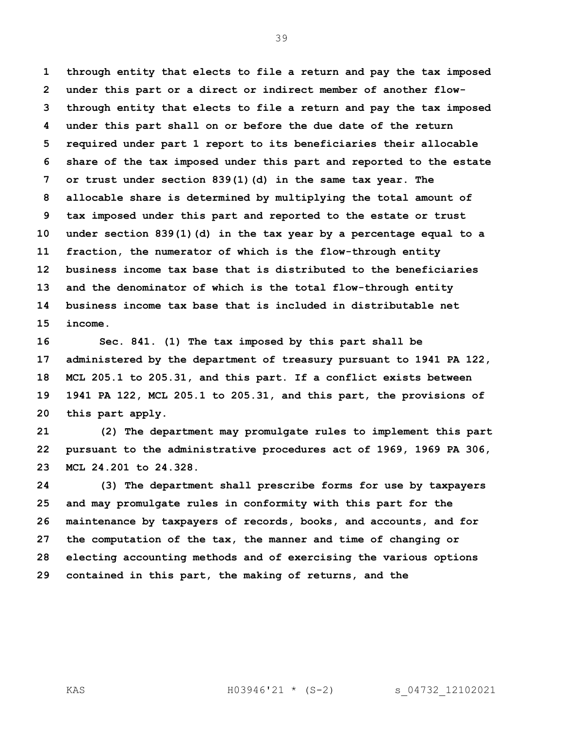**through entity that elects to file a return and pay the tax imposed under this part or a direct or indirect member of another flow- through entity that elects to file a return and pay the tax imposed under this part shall on or before the due date of the return required under part 1 report to its beneficiaries their allocable share of the tax imposed under this part and reported to the estate or trust under section 839(1)(d) in the same tax year. The allocable share is determined by multiplying the total amount of tax imposed under this part and reported to the estate or trust under section 839(1)(d) in the tax year by a percentage equal to a fraction, the numerator of which is the flow-through entity business income tax base that is distributed to the beneficiaries and the denominator of which is the total flow-through entity business income tax base that is included in distributable net income.**

 **Sec. 841. (1) The tax imposed by this part shall be administered by the department of treasury pursuant to 1941 PA 122, MCL 205.1 to 205.31, and this part. If a conflict exists between 1941 PA 122, MCL 205.1 to 205.31, and this part, the provisions of this part apply.**

 **(2) The department may promulgate rules to implement this part pursuant to the administrative procedures act of 1969, 1969 PA 306, MCL 24.201 to 24.328.**

 **(3) The department shall prescribe forms for use by taxpayers and may promulgate rules in conformity with this part for the maintenance by taxpayers of records, books, and accounts, and for the computation of the tax, the manner and time of changing or electing accounting methods and of exercising the various options contained in this part, the making of returns, and the** 

KAS H03946'21 \* (S-2) s\_04732\_12102021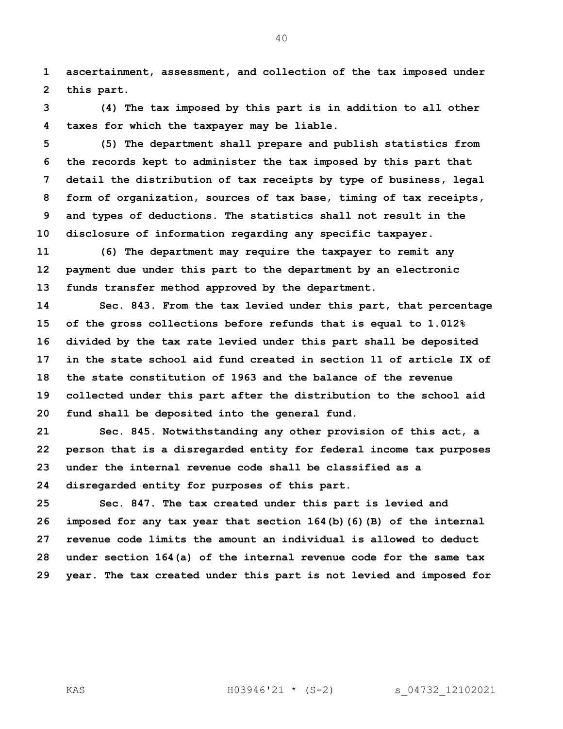**ascertainment, assessment, and collection of the tax imposed under this part.**

 **(4) The tax imposed by this part is in addition to all other taxes for which the taxpayer may be liable.** 

 **(5) The department shall prepare and publish statistics from the records kept to administer the tax imposed by this part that detail the distribution of tax receipts by type of business, legal form of organization, sources of tax base, timing of tax receipts, and types of deductions. The statistics shall not result in the disclosure of information regarding any specific taxpayer.**

 **(6) The department may require the taxpayer to remit any payment due under this part to the department by an electronic funds transfer method approved by the department.** 

 **Sec. 843. From the tax levied under this part, that percentage of the gross collections before refunds that is equal to 1.012% divided by the tax rate levied under this part shall be deposited in the state school aid fund created in section 11 of article IX of the state constitution of 1963 and the balance of the revenue collected under this part after the distribution to the school aid fund shall be deposited into the general fund.**

 **Sec. 845. Notwithstanding any other provision of this act, a person that is a disregarded entity for federal income tax purposes under the internal revenue code shall be classified as a disregarded entity for purposes of this part.**

 **Sec. 847. The tax created under this part is levied and imposed for any tax year that section 164(b)(6)(B) of the internal revenue code limits the amount an individual is allowed to deduct under section 164(a) of the internal revenue code for the same tax year. The tax created under this part is not levied and imposed for**